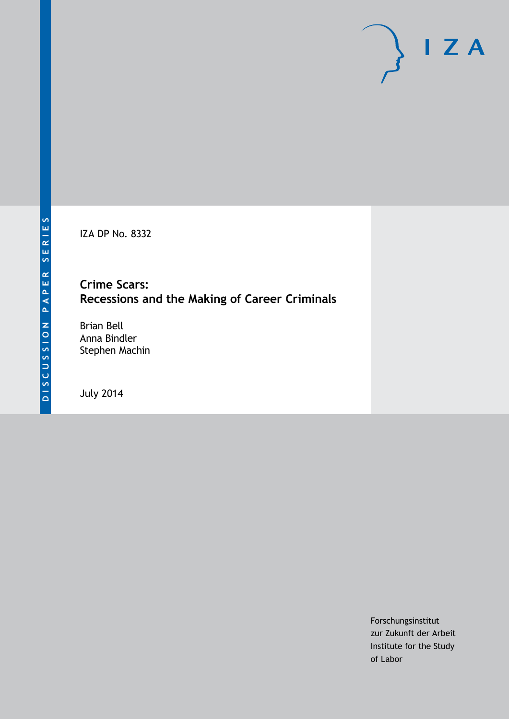IZA DP No. 8332

# **Crime Scars: Recessions and the Making of Career Criminals**

Brian Bell Anna Bindler Stephen Machin

July 2014

Forschungsinstitut zur Zukunft der Arbeit Institute for the Study of Labor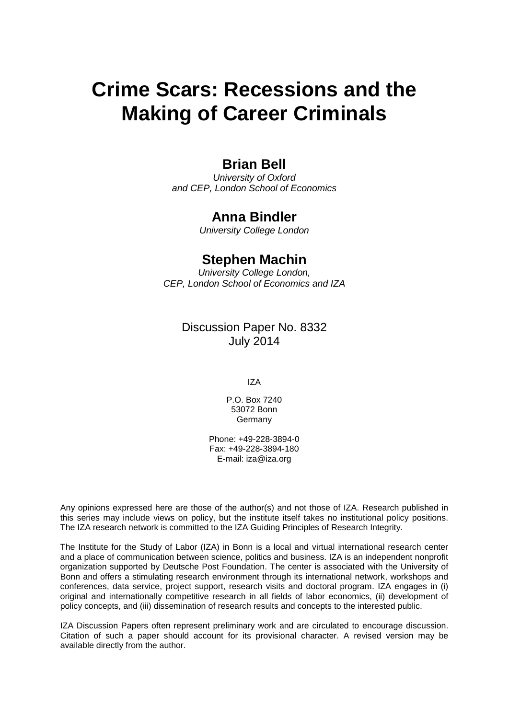# **Crime Scars: Recessions and the Making of Career Criminals**

# **Brian Bell**

*University of Oxford and CEP, London School of Economics*

## **Anna Bindler**

*University College London*

# **Stephen Machin**

*University College London, CEP, London School of Economics and IZA*

## Discussion Paper No. 8332 July 2014

IZA

P.O. Box 7240 53072 Bonn **Germany** 

Phone: +49-228-3894-0 Fax: +49-228-3894-180 E-mail: [iza@iza.org](mailto:iza@iza.org)

Any opinions expressed here are those of the author(s) and not those of IZA. Research published in this series may include views on policy, but the institute itself takes no institutional policy positions. The IZA research network is committed to the IZA Guiding Principles of Research Integrity.

The Institute for the Study of Labor (IZA) in Bonn is a local and virtual international research center and a place of communication between science, politics and business. IZA is an independent nonprofit organization supported by Deutsche Post Foundation. The center is associated with the University of Bonn and offers a stimulating research environment through its international network, workshops and conferences, data service, project support, research visits and doctoral program. IZA engages in (i) original and internationally competitive research in all fields of labor economics, (ii) development of policy concepts, and (iii) dissemination of research results and concepts to the interested public.

<span id="page-1-0"></span>IZA Discussion Papers often represent preliminary work and are circulated to encourage discussion. Citation of such a paper should account for its provisional character. A revised version may be available directly from the author.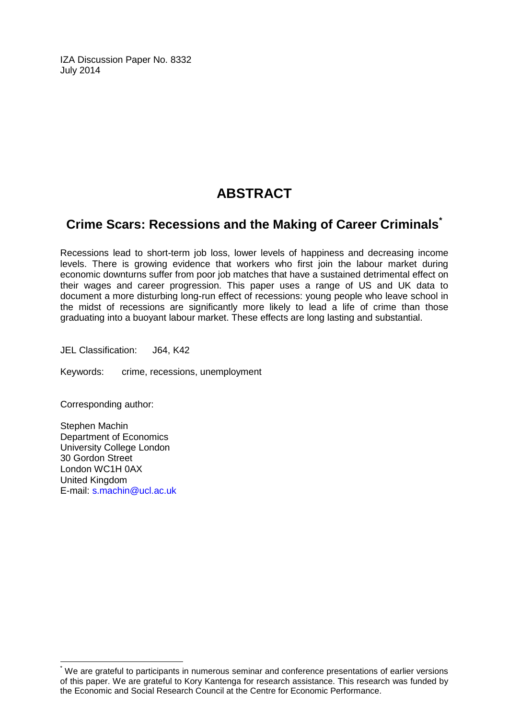IZA Discussion Paper No. 8332 July 2014

# **ABSTRACT**

# **Crime Scars: Recessions and the Making of Career Criminals[\\*](#page-1-0)**

Recessions lead to short-term job loss, lower levels of happiness and decreasing income levels. There is growing evidence that workers who first join the labour market during economic downturns suffer from poor job matches that have a sustained detrimental effect on their wages and career progression. This paper uses a range of US and UK data to document a more disturbing long-run effect of recessions: young people who leave school in the midst of recessions are significantly more likely to lead a life of crime than those graduating into a buoyant labour market. These effects are long lasting and substantial.

JEL Classification: J64, K42

Keywords: crime, recessions, unemployment

Corresponding author:

Stephen Machin Department of Economics University College London 30 Gordon Street London WC1H 0AX United Kingdom E-mail: [s.machin@ucl.ac.uk](mailto:s.machin@ucl.ac.uk)

\* We are grateful to participants in numerous seminar and conference presentations of earlier versions of this paper. We are grateful to Kory Kantenga for research assistance. This research was funded by the Economic and Social Research Council at the Centre for Economic Performance.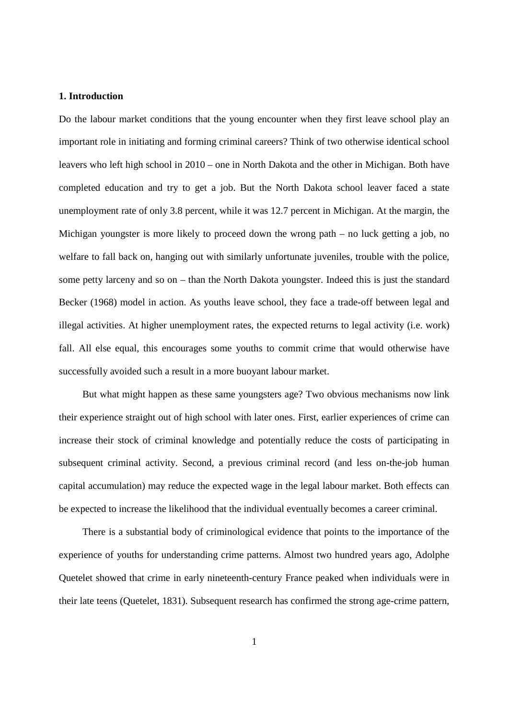#### **1. Introduction**

Do the labour market conditions that the young encounter when they first leave school play an important role in initiating and forming criminal careers? Think of two otherwise identical school leavers who left high school in 2010 – one in North Dakota and the other in Michigan. Both have completed education and try to get a job. But the North Dakota school leaver faced a state unemployment rate of only 3.8 percent, while it was 12.7 percent in Michigan. At the margin, the Michigan youngster is more likely to proceed down the wrong path – no luck getting a job, no welfare to fall back on, hanging out with similarly unfortunate juveniles, trouble with the police, some petty larceny and so on – than the North Dakota youngster. Indeed this is just the standard Becker (1968) model in action. As youths leave school, they face a trade-off between legal and illegal activities. At higher unemployment rates, the expected returns to legal activity (i.e. work) fall. All else equal, this encourages some youths to commit crime that would otherwise have successfully avoided such a result in a more buoyant labour market.

But what might happen as these same youngsters age? Two obvious mechanisms now link their experience straight out of high school with later ones. First, earlier experiences of crime can increase their stock of criminal knowledge and potentially reduce the costs of participating in subsequent criminal activity. Second, a previous criminal record (and less on-the-job human capital accumulation) may reduce the expected wage in the legal labour market. Both effects can be expected to increase the likelihood that the individual eventually becomes a career criminal.

There is a substantial body of criminological evidence that points to the importance of the experience of youths for understanding crime patterns. Almost two hundred years ago, Adolphe Quetelet showed that crime in early nineteenth-century France peaked when individuals were in their late teens (Quetelet, 1831). Subsequent research has confirmed the strong age-crime pattern,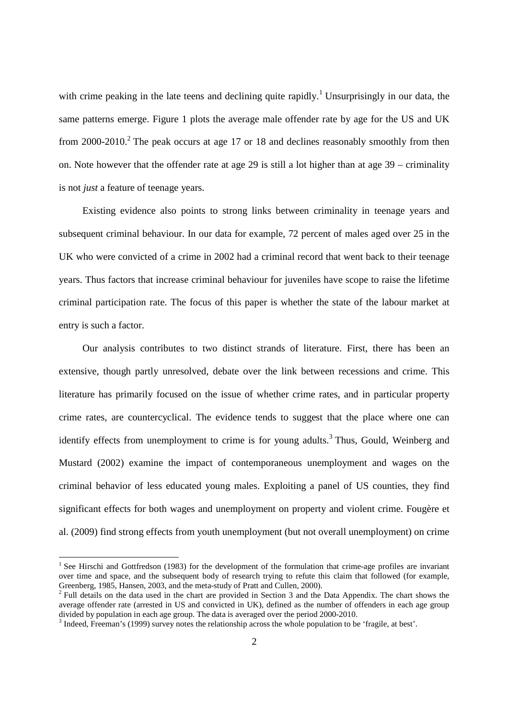with crime peaking in the late teens and declining quite rapidly.<sup>1</sup> Unsurprisingly in our data, the same patterns emerge. Figure 1 plots the average male offender rate by age for the US and UK from 2000-2010.<sup>2</sup> The peak occurs at age 17 or 18 and declines reasonably smoothly from then on. Note however that the offender rate at age 29 is still a lot higher than at age 39 – criminality is not *just* a feature of teenage years.

Existing evidence also points to strong links between criminality in teenage years and subsequent criminal behaviour. In our data for example, 72 percent of males aged over 25 in the UK who were convicted of a crime in 2002 had a criminal record that went back to their teenage years. Thus factors that increase criminal behaviour for juveniles have scope to raise the lifetime criminal participation rate. The focus of this paper is whether the state of the labour market at entry is such a factor.

Our analysis contributes to two distinct strands of literature. First, there has been an extensive, though partly unresolved, debate over the link between recessions and crime. This literature has primarily focused on the issue of whether crime rates, and in particular property crime rates, are countercyclical. The evidence tends to suggest that the place where one can identify effects from unemployment to crime is for young adults.<sup>3</sup> Thus, Gould, Weinberg and Mustard (2002) examine the impact of contemporaneous unemployment and wages on the criminal behavior of less educated young males. Exploiting a panel of US counties, they find significant effects for both wages and unemployment on property and violent crime. Fougère et al. (2009) find strong effects from youth unemployment (but not overall unemployment) on crime

<sup>&</sup>lt;sup>1</sup> See Hirschi and Gottfredson (1983) for the development of the formulation that crime-age profiles are invariant over time and space, and the subsequent body of research trying to refute this claim that followed (for example, Greenberg, 1985, Hansen, 2003, and the meta-study of Pratt and Cullen, 2000).

 $2$  Full details on the data used in the chart are provided in Section 3 and the Data Appendix. The chart shows the average offender rate (arrested in US and convicted in UK), defined as the number of offenders in each age group divided by population in each age group. The data is averaged over the period 2000-2010.

<sup>&</sup>lt;sup>3</sup> Indeed, Freeman's (1999) survey notes the relationship across the whole population to be 'fragile, at best'.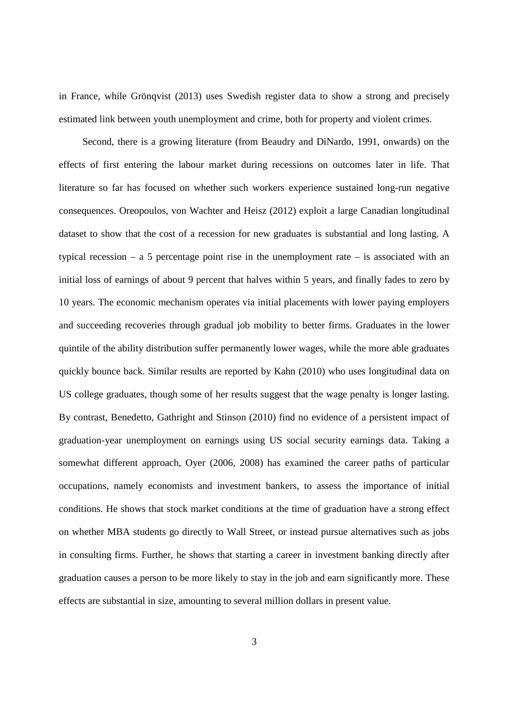in France, while Grönqvist (2013) uses Swedish register data to show a strong and precisely estimated link between youth unemployment and crime, both for property and violent crimes.

Second, there is a growing literature (from Beaudry and DiNardo, 1991, onwards) on the effects of first entering the labour market during recessions on outcomes later in life. That literature so far has focused on whether such workers experience sustained long-run negative consequences. Oreopoulos, von Wachter and Heisz (2012) exploit a large Canadian longitudinal dataset to show that the cost of a recession for new graduates is substantial and long lasting. A typical recession – a 5 percentage point rise in the unemployment rate – is associated with an initial loss of earnings of about 9 percent that halves within 5 years, and finally fades to zero by 10 years. The economic mechanism operates via initial placements with lower paying employers and succeeding recoveries through gradual job mobility to better firms. Graduates in the lower quintile of the ability distribution suffer permanently lower wages, while the more able graduates quickly bounce back. Similar results are reported by Kahn (2010) who uses longitudinal data on US college graduates, though some of her results suggest that the wage penalty is longer lasting. By contrast, Benedetto, Gathright and Stinson (2010) find no evidence of a persistent impact of graduation-year unemployment on earnings using US social security earnings data. Taking a somewhat different approach, Oyer (2006, 2008) has examined the career paths of particular occupations, namely economists and investment bankers, to assess the importance of initial conditions. He shows that stock market conditions at the time of graduation have a strong effect on whether MBA students go directly to Wall Street, or instead pursue alternatives such as jobs in consulting firms. Further, he shows that starting a career in investment banking directly after graduation causes a person to be more likely to stay in the job and earn significantly more. These effects are substantial in size, amounting to several million dollars in present value.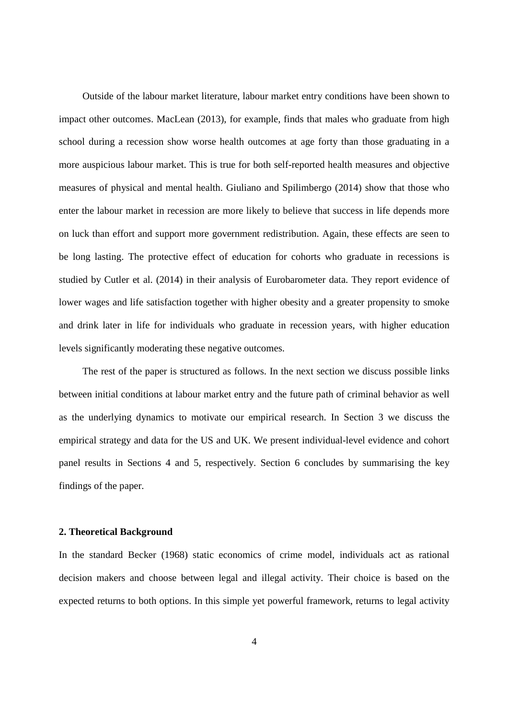Outside of the labour market literature, labour market entry conditions have been shown to impact other outcomes. MacLean (2013), for example, finds that males who graduate from high school during a recession show worse health outcomes at age forty than those graduating in a more auspicious labour market. This is true for both self-reported health measures and objective measures of physical and mental health. Giuliano and Spilimbergo (2014) show that those who enter the labour market in recession are more likely to believe that success in life depends more on luck than effort and support more government redistribution. Again, these effects are seen to be long lasting. The protective effect of education for cohorts who graduate in recessions is studied by Cutler et al. (2014) in their analysis of Eurobarometer data. They report evidence of lower wages and life satisfaction together with higher obesity and a greater propensity to smoke and drink later in life for individuals who graduate in recession years, with higher education levels significantly moderating these negative outcomes.

The rest of the paper is structured as follows. In the next section we discuss possible links between initial conditions at labour market entry and the future path of criminal behavior as well as the underlying dynamics to motivate our empirical research. In Section 3 we discuss the empirical strategy and data for the US and UK. We present individual-level evidence and cohort panel results in Sections 4 and 5, respectively. Section 6 concludes by summarising the key findings of the paper.

#### **2. Theoretical Background**

In the standard Becker (1968) static economics of crime model, individuals act as rational decision makers and choose between legal and illegal activity. Their choice is based on the expected returns to both options. In this simple yet powerful framework, returns to legal activity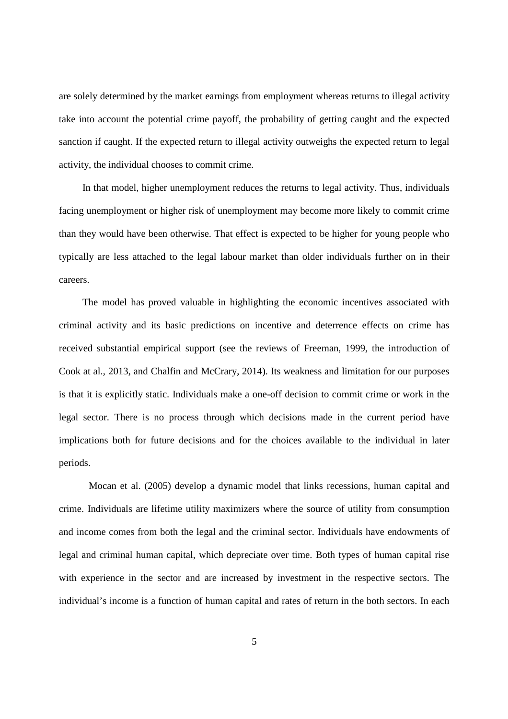are solely determined by the market earnings from employment whereas returns to illegal activity take into account the potential crime payoff, the probability of getting caught and the expected sanction if caught. If the expected return to illegal activity outweighs the expected return to legal activity, the individual chooses to commit crime.

In that model, higher unemployment reduces the returns to legal activity. Thus, individuals facing unemployment or higher risk of unemployment may become more likely to commit crime than they would have been otherwise. That effect is expected to be higher for young people who typically are less attached to the legal labour market than older individuals further on in their careers.

The model has proved valuable in highlighting the economic incentives associated with criminal activity and its basic predictions on incentive and deterrence effects on crime has received substantial empirical support (see the reviews of Freeman, 1999, the introduction of Cook at al., 2013, and Chalfin and McCrary, 2014). Its weakness and limitation for our purposes is that it is explicitly static. Individuals make a one-off decision to commit crime or work in the legal sector. There is no process through which decisions made in the current period have implications both for future decisions and for the choices available to the individual in later periods.

Mocan et al. (2005) develop a dynamic model that links recessions, human capital and crime. Individuals are lifetime utility maximizers where the source of utility from consumption and income comes from both the legal and the criminal sector. Individuals have endowments of legal and criminal human capital, which depreciate over time. Both types of human capital rise with experience in the sector and are increased by investment in the respective sectors. The individual's income is a function of human capital and rates of return in the both sectors. In each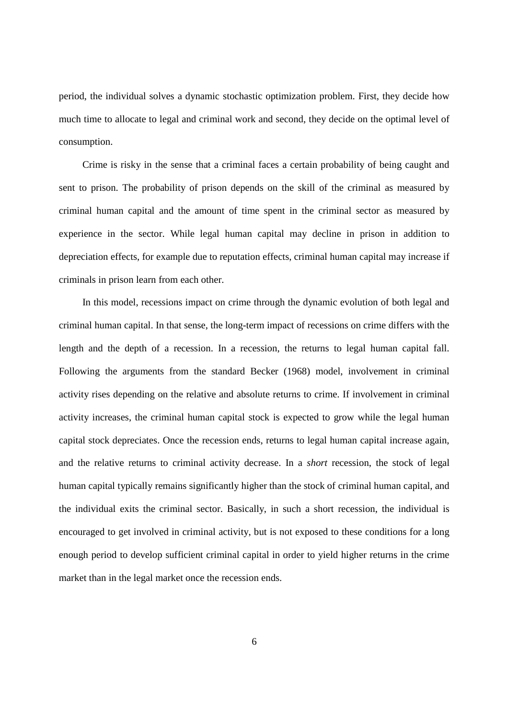period, the individual solves a dynamic stochastic optimization problem. First, they decide how much time to allocate to legal and criminal work and second, they decide on the optimal level of consumption.

Crime is risky in the sense that a criminal faces a certain probability of being caught and sent to prison. The probability of prison depends on the skill of the criminal as measured by criminal human capital and the amount of time spent in the criminal sector as measured by experience in the sector. While legal human capital may decline in prison in addition to depreciation effects, for example due to reputation effects, criminal human capital may increase if criminals in prison learn from each other.

In this model, recessions impact on crime through the dynamic evolution of both legal and criminal human capital. In that sense, the long-term impact of recessions on crime differs with the length and the depth of a recession. In a recession, the returns to legal human capital fall. Following the arguments from the standard Becker (1968) model, involvement in criminal activity rises depending on the relative and absolute returns to crime. If involvement in criminal activity increases, the criminal human capital stock is expected to grow while the legal human capital stock depreciates. Once the recession ends, returns to legal human capital increase again, and the relative returns to criminal activity decrease. In a *short* recession, the stock of legal human capital typically remains significantly higher than the stock of criminal human capital, and the individual exits the criminal sector. Basically, in such a short recession, the individual is encouraged to get involved in criminal activity, but is not exposed to these conditions for a long enough period to develop sufficient criminal capital in order to yield higher returns in the crime market than in the legal market once the recession ends.

6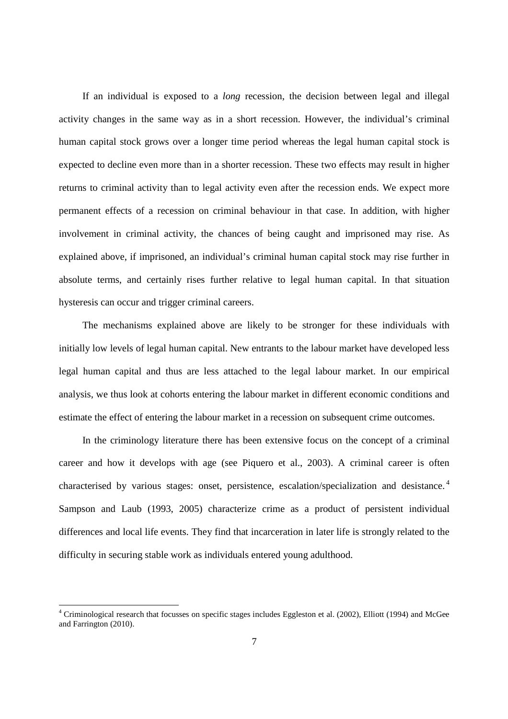If an individual is exposed to a *long* recession, the decision between legal and illegal activity changes in the same way as in a short recession. However, the individual's criminal human capital stock grows over a longer time period whereas the legal human capital stock is expected to decline even more than in a shorter recession. These two effects may result in higher returns to criminal activity than to legal activity even after the recession ends. We expect more permanent effects of a recession on criminal behaviour in that case. In addition, with higher involvement in criminal activity, the chances of being caught and imprisoned may rise. As explained above, if imprisoned, an individual's criminal human capital stock may rise further in absolute terms, and certainly rises further relative to legal human capital. In that situation hysteresis can occur and trigger criminal careers.

The mechanisms explained above are likely to be stronger for these individuals with initially low levels of legal human capital. New entrants to the labour market have developed less legal human capital and thus are less attached to the legal labour market. In our empirical analysis, we thus look at cohorts entering the labour market in different economic conditions and estimate the effect of entering the labour market in a recession on subsequent crime outcomes.

In the criminology literature there has been extensive focus on the concept of a criminal career and how it develops with age (see Piquero et al., 2003). A criminal career is often characterised by various stages: onset, persistence, escalation/specialization and desistance. <sup>4</sup> Sampson and Laub (1993, 2005) characterize crime as a product of persistent individual differences and local life events. They find that incarceration in later life is strongly related to the difficulty in securing stable work as individuals entered young adulthood.

 $4$  Criminological research that focusses on specific stages includes Eggleston et al. (2002), Elliott (1994) and McGee and Farrington (2010).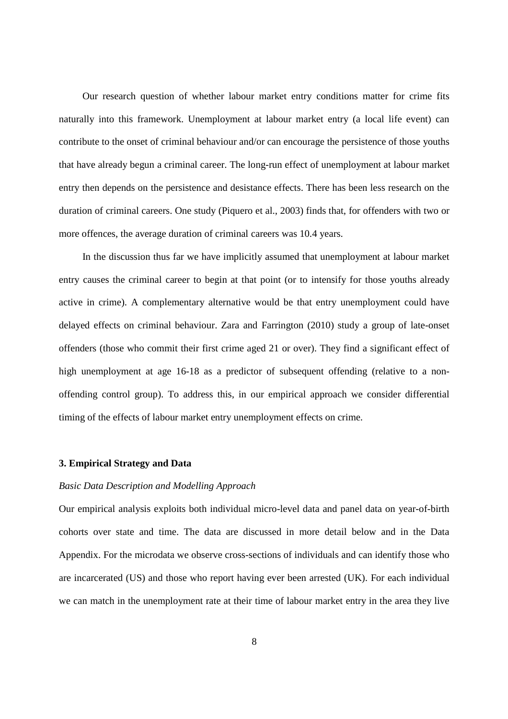Our research question of whether labour market entry conditions matter for crime fits naturally into this framework. Unemployment at labour market entry (a local life event) can contribute to the onset of criminal behaviour and/or can encourage the persistence of those youths that have already begun a criminal career. The long-run effect of unemployment at labour market entry then depends on the persistence and desistance effects. There has been less research on the duration of criminal careers. One study (Piquero et al., 2003) finds that, for offenders with two or more offences, the average duration of criminal careers was 10.4 years.

In the discussion thus far we have implicitly assumed that unemployment at labour market entry causes the criminal career to begin at that point (or to intensify for those youths already active in crime). A complementary alternative would be that entry unemployment could have delayed effects on criminal behaviour. Zara and Farrington (2010) study a group of late-onset offenders (those who commit their first crime aged 21 or over). They find a significant effect of high unemployment at age 16-18 as a predictor of subsequent offending (relative to a nonoffending control group). To address this, in our empirical approach we consider differential timing of the effects of labour market entry unemployment effects on crime.

#### **3. Empirical Strategy and Data**

#### *Basic Data Description and Modelling Approach*

Our empirical analysis exploits both individual micro-level data and panel data on year-of-birth cohorts over state and time. The data are discussed in more detail below and in the Data Appendix. For the microdata we observe cross-sections of individuals and can identify those who are incarcerated (US) and those who report having ever been arrested (UK). For each individual we can match in the unemployment rate at their time of labour market entry in the area they live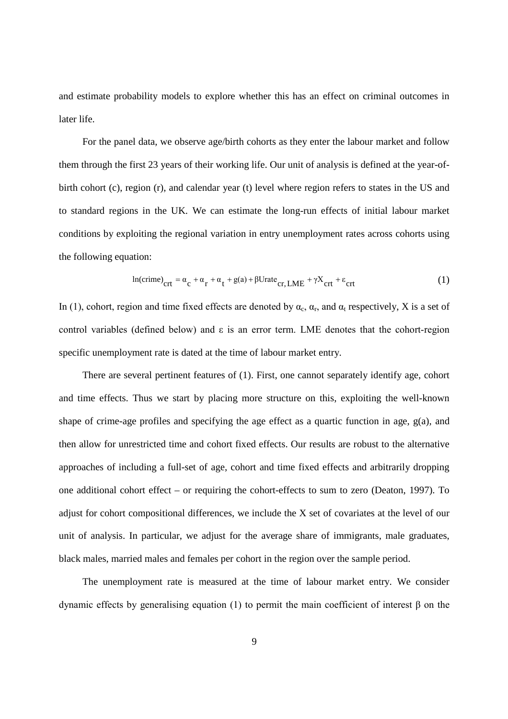and estimate probability models to explore whether this has an effect on criminal outcomes in later life.

For the panel data, we observe age/birth cohorts as they enter the labour market and follow them through the first 23 years of their working life. Our unit of analysis is defined at the year-ofbirth cohort (c), region (r), and calendar year (t) level where region refers to states in the US and to standard regions in the UK. We can estimate the long-run effects of initial labour market conditions by exploiting the regional variation in entry unemployment rates across cohorts using the following equation:

$$
ln(crime)_{\text{crt}} = \alpha_{\text{c}} + \alpha_{\text{r}} + \alpha_{\text{t}} + g(a) + \beta \text{Urate}_{\text{cr, LME}} + \gamma X_{\text{crt}} + \epsilon_{\text{crt}} \tag{1}
$$

In (1), cohort, region and time fixed effects are denoted by  $\alpha_c$ ,  $\alpha_r$ , and  $\alpha_t$  respectively, X is a set of control variables (defined below) and  $\varepsilon$  is an error term. LME denotes that the cohort-region specific unemployment rate is dated at the time of labour market entry.

There are several pertinent features of (1). First, one cannot separately identify age, cohort and time effects. Thus we start by placing more structure on this, exploiting the well-known shape of crime-age profiles and specifying the age effect as a quartic function in age, g(a)*,* and then allow for unrestricted time and cohort fixed effects. Our results are robust to the alternative approaches of including a full-set of age, cohort and time fixed effects and arbitrarily dropping one additional cohort effect – or requiring the cohort-effects to sum to zero (Deaton, 1997). To adjust for cohort compositional differences, we include the X set of covariates at the level of our unit of analysis. In particular, we adjust for the average share of immigrants, male graduates, black males, married males and females per cohort in the region over the sample period.

The unemployment rate is measured at the time of labour market entry. We consider dynamic effects by generalising equation (1) to permit the main coefficient of interest β on the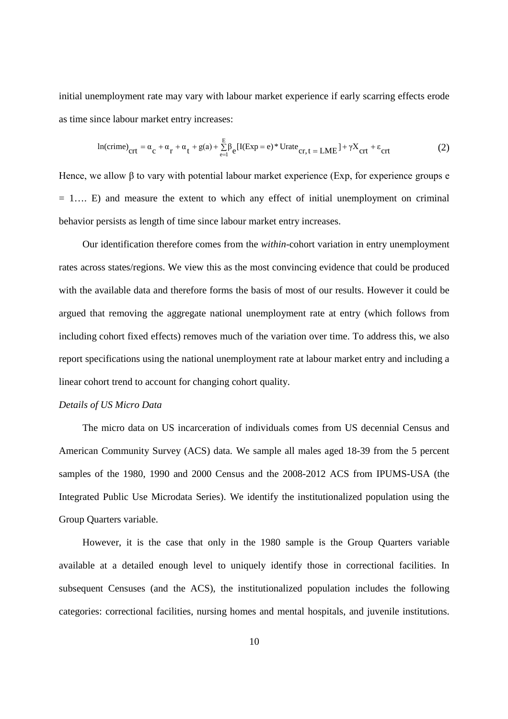initial unemployment rate may vary with labour market experience if early scarring effects erode as time since labour market entry increases:

$$
\ln(\text{crime})_{\text{crt}} = \alpha_{\text{c}} + \alpha_{\text{r}} + \alpha_{\text{t}} + g(a) + \sum_{e=1}^{E} \beta_{e} [\text{I}(\text{Exp} = e)^* \text{Urate}_{\text{cr}, t} = \text{LME}^{\text{I}} + \gamma X_{\text{crt}} + \varepsilon_{\text{crt}} \tag{2}
$$

Hence, we allow β to vary with potential labour market experience (Exp, for experience groups e  $= 1...$  E) and measure the extent to which any effect of initial unemployment on criminal behavior persists as length of time since labour market entry increases.

Our identification therefore comes from the *within*-cohort variation in entry unemployment rates across states/regions. We view this as the most convincing evidence that could be produced with the available data and therefore forms the basis of most of our results. However it could be argued that removing the aggregate national unemployment rate at entry (which follows from including cohort fixed effects) removes much of the variation over time. To address this, we also report specifications using the national unemployment rate at labour market entry and including a linear cohort trend to account for changing cohort quality.

#### *Details of US Micro Data*

The micro data on US incarceration of individuals comes from US decennial Census and American Community Survey (ACS) data. We sample all males aged 18-39 from the 5 percent samples of the 1980, 1990 and 2000 Census and the 2008-2012 ACS from IPUMS-USA (the Integrated Public Use Microdata Series). We identify the institutionalized population using the Group Quarters variable.

However, it is the case that only in the 1980 sample is the Group Quarters variable available at a detailed enough level to uniquely identify those in correctional facilities. In subsequent Censuses (and the ACS), the institutionalized population includes the following categories: correctional facilities, nursing homes and mental hospitals, and juvenile institutions.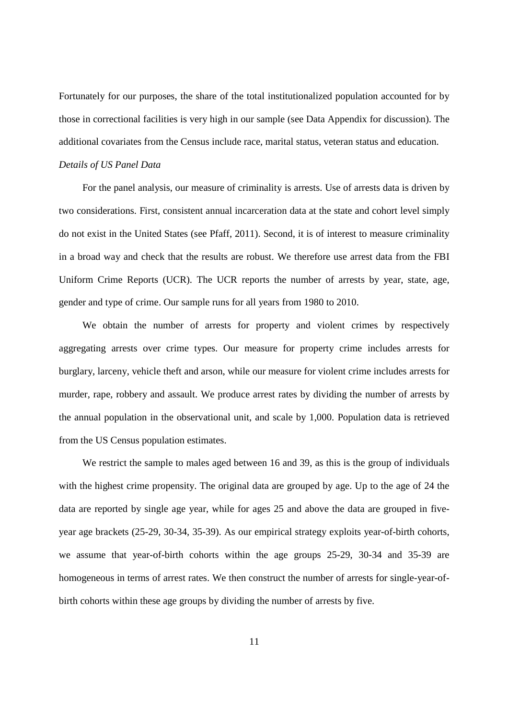Fortunately for our purposes, the share of the total institutionalized population accounted for by those in correctional facilities is very high in our sample (see Data Appendix for discussion). The additional covariates from the Census include race, marital status, veteran status and education.

#### *Details of US Panel Data*

For the panel analysis, our measure of criminality is arrests. Use of arrests data is driven by two considerations. First, consistent annual incarceration data at the state and cohort level simply do not exist in the United States (see Pfaff, 2011). Second, it is of interest to measure criminality in a broad way and check that the results are robust. We therefore use arrest data from the FBI Uniform Crime Reports (UCR). The UCR reports the number of arrests by year, state, age, gender and type of crime. Our sample runs for all years from 1980 to 2010.

We obtain the number of arrests for property and violent crimes by respectively aggregating arrests over crime types. Our measure for property crime includes arrests for burglary, larceny, vehicle theft and arson, while our measure for violent crime includes arrests for murder, rape, robbery and assault. We produce arrest rates by dividing the number of arrests by the annual population in the observational unit, and scale by 1,000. Population data is retrieved from the US Census population estimates.

We restrict the sample to males aged between 16 and 39, as this is the group of individuals with the highest crime propensity. The original data are grouped by age. Up to the age of 24 the data are reported by single age year, while for ages 25 and above the data are grouped in fiveyear age brackets (25-29, 30-34, 35-39). As our empirical strategy exploits year-of-birth cohorts, we assume that year-of-birth cohorts within the age groups 25-29, 30-34 and 35-39 are homogeneous in terms of arrest rates. We then construct the number of arrests for single-year-ofbirth cohorts within these age groups by dividing the number of arrests by five.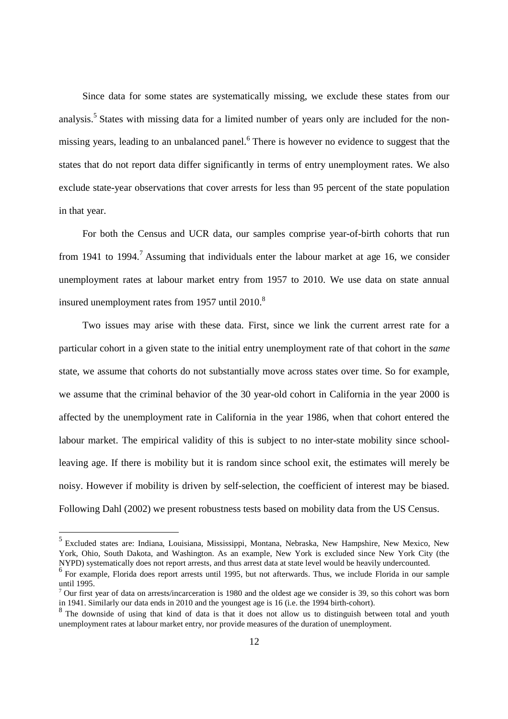Since data for some states are systematically missing, we exclude these states from our analysis.<sup>5</sup> States with missing data for a limited number of years only are included for the nonmissing years, leading to an unbalanced panel.<sup>6</sup> There is however no evidence to suggest that the states that do not report data differ significantly in terms of entry unemployment rates. We also exclude state-year observations that cover arrests for less than 95 percent of the state population in that year.

For both the Census and UCR data, our samples comprise year-of-birth cohorts that run from 1941 to 1994.<sup>7</sup> Assuming that individuals enter the labour market at age 16, we consider unemployment rates at labour market entry from 1957 to 2010. We use data on state annual insured unemployment rates from  $1957$  until  $2010$ .<sup>8</sup>

Two issues may arise with these data. First, since we link the current arrest rate for a particular cohort in a given state to the initial entry unemployment rate of that cohort in the *same* state, we assume that cohorts do not substantially move across states over time. So for example, we assume that the criminal behavior of the 30 year-old cohort in California in the year 2000 is affected by the unemployment rate in California in the year 1986, when that cohort entered the labour market. The empirical validity of this is subject to no inter-state mobility since schoolleaving age. If there is mobility but it is random since school exit, the estimates will merely be noisy. However if mobility is driven by self-selection, the coefficient of interest may be biased. Following Dahl (2002) we present robustness tests based on mobility data from the US Census.

<sup>5</sup> Excluded states are: Indiana, Louisiana, Mississippi, Montana, Nebraska, New Hampshire, New Mexico, New York, Ohio, South Dakota, and Washington. As an example, New York is excluded since New York City (the NYPD) systematically does not report arrests, and thus arrest data at state level would be heavily undercounted.

<sup>&</sup>lt;sup>6</sup> For example, Florida does report arrests until 1995, but not afterwards. Thus, we include Florida in our sample until 1995.

<sup>7</sup> Our first year of data on arrests/incarceration is 1980 and the oldest age we consider is 39, so this cohort was born in 1941. Similarly our data ends in 2010 and the youngest age is 16 (i.e. the 1994 birth-cohort).

<sup>&</sup>lt;sup>8</sup> The downside of using that kind of data is that it does not allow us to distinguish between total and youth unemployment rates at labour market entry, nor provide measures of the duration of unemployment.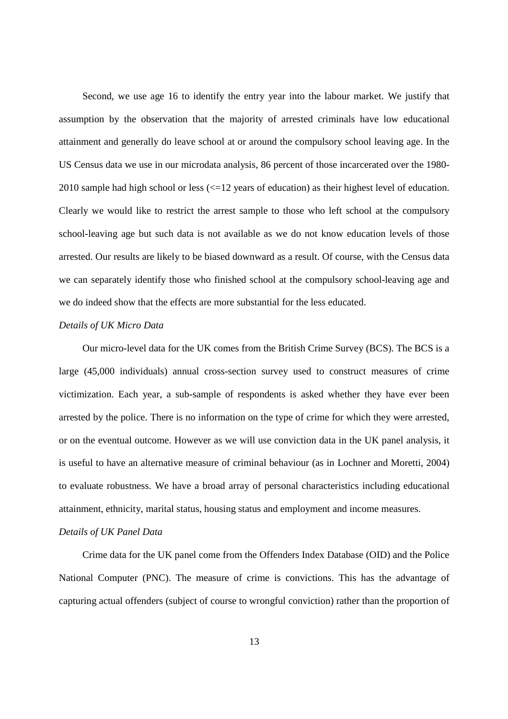Second, we use age 16 to identify the entry year into the labour market. We justify that assumption by the observation that the majority of arrested criminals have low educational attainment and generally do leave school at or around the compulsory school leaving age. In the US Census data we use in our microdata analysis, 86 percent of those incarcerated over the 1980- 2010 sample had high school or less (<=12 years of education) as their highest level of education. Clearly we would like to restrict the arrest sample to those who left school at the compulsory school-leaving age but such data is not available as we do not know education levels of those arrested. Our results are likely to be biased downward as a result. Of course, with the Census data we can separately identify those who finished school at the compulsory school-leaving age and we do indeed show that the effects are more substantial for the less educated.

#### *Details of UK Micro Data*

Our micro-level data for the UK comes from the British Crime Survey (BCS). The BCS is a large (45,000 individuals) annual cross-section survey used to construct measures of crime victimization. Each year, a sub-sample of respondents is asked whether they have ever been arrested by the police. There is no information on the type of crime for which they were arrested, or on the eventual outcome. However as we will use conviction data in the UK panel analysis, it is useful to have an alternative measure of criminal behaviour (as in Lochner and Moretti, 2004) to evaluate robustness. We have a broad array of personal characteristics including educational attainment, ethnicity, marital status, housing status and employment and income measures.

#### *Details of UK Panel Data*

Crime data for the UK panel come from the Offenders Index Database (OID) and the Police National Computer (PNC). The measure of crime is convictions. This has the advantage of capturing actual offenders (subject of course to wrongful conviction) rather than the proportion of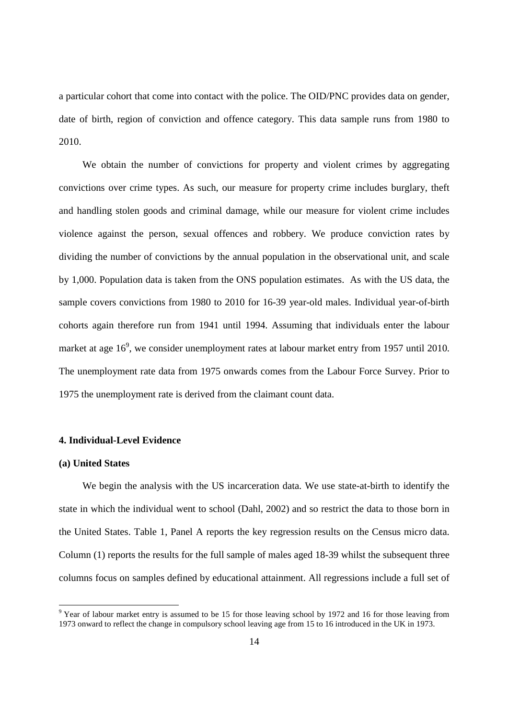a particular cohort that come into contact with the police. The OID/PNC provides data on gender, date of birth, region of conviction and offence category. This data sample runs from 1980 to 2010.

We obtain the number of convictions for property and violent crimes by aggregating convictions over crime types. As such, our measure for property crime includes burglary, theft and handling stolen goods and criminal damage, while our measure for violent crime includes violence against the person, sexual offences and robbery. We produce conviction rates by dividing the number of convictions by the annual population in the observational unit, and scale by 1,000. Population data is taken from the ONS population estimates. As with the US data, the sample covers convictions from 1980 to 2010 for 16-39 year-old males. Individual year-of-birth cohorts again therefore run from 1941 until 1994. Assuming that individuals enter the labour market at age  $16^9$ , we consider unemployment rates at labour market entry from 1957 until 2010. The unemployment rate data from 1975 onwards comes from the Labour Force Survey. Prior to 1975 the unemployment rate is derived from the claimant count data.

#### **4. Individual-Level Evidence**

#### **(a) United States**

We begin the analysis with the US incarceration data. We use state-at-birth to identify the state in which the individual went to school (Dahl, 2002) and so restrict the data to those born in the United States. Table 1, Panel A reports the key regression results on the Census micro data. Column (1) reports the results for the full sample of males aged 18-39 whilst the subsequent three columns focus on samples defined by educational attainment. All regressions include a full set of

 $9$  Year of labour market entry is assumed to be 15 for those leaving school by 1972 and 16 for those leaving from 1973 onward to reflect the change in compulsory school leaving age from 15 to 16 introduced in the UK in 1973.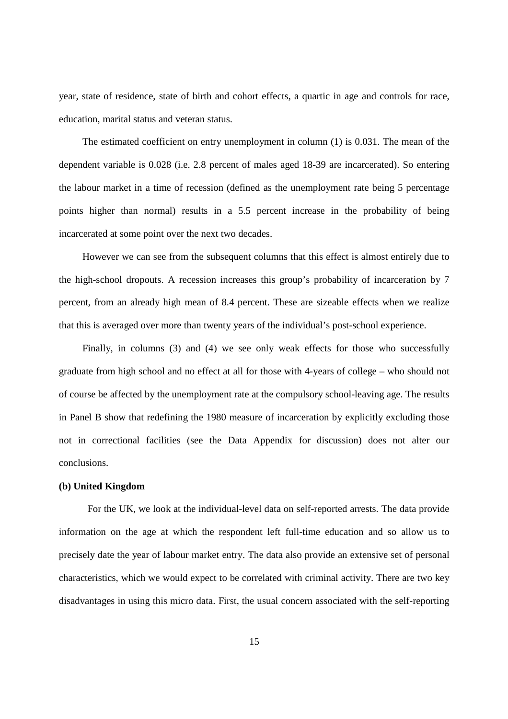year, state of residence, state of birth and cohort effects, a quartic in age and controls for race, education, marital status and veteran status.

The estimated coefficient on entry unemployment in column (1) is 0.031. The mean of the dependent variable is 0.028 (i.e. 2.8 percent of males aged 18-39 are incarcerated). So entering the labour market in a time of recession (defined as the unemployment rate being 5 percentage points higher than normal) results in a 5.5 percent increase in the probability of being incarcerated at some point over the next two decades.

However we can see from the subsequent columns that this effect is almost entirely due to the high-school dropouts. A recession increases this group's probability of incarceration by 7 percent, from an already high mean of 8.4 percent. These are sizeable effects when we realize that this is averaged over more than twenty years of the individual's post-school experience.

Finally, in columns (3) and (4) we see only weak effects for those who successfully graduate from high school and no effect at all for those with 4-years of college – who should not of course be affected by the unemployment rate at the compulsory school-leaving age. The results in Panel B show that redefining the 1980 measure of incarceration by explicitly excluding those not in correctional facilities (see the Data Appendix for discussion) does not alter our conclusions.

#### **(b) United Kingdom**

For the UK, we look at the individual-level data on self-reported arrests. The data provide information on the age at which the respondent left full-time education and so allow us to precisely date the year of labour market entry. The data also provide an extensive set of personal characteristics, which we would expect to be correlated with criminal activity. There are two key disadvantages in using this micro data. First, the usual concern associated with the self-reporting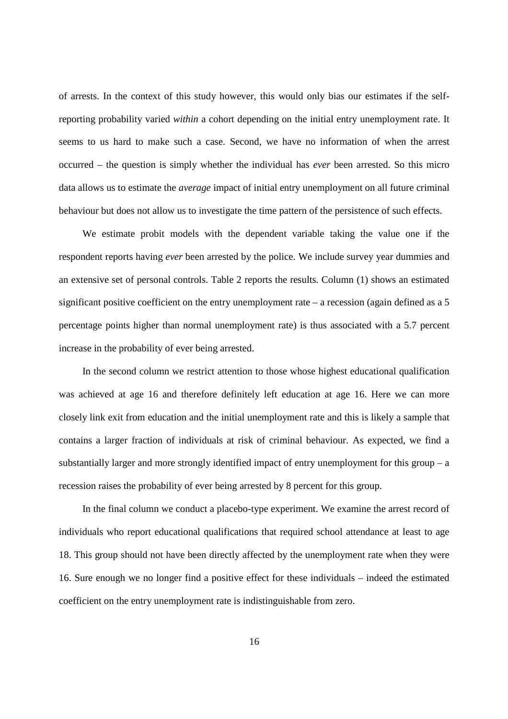of arrests. In the context of this study however, this would only bias our estimates if the selfreporting probability varied *within* a cohort depending on the initial entry unemployment rate. It seems to us hard to make such a case. Second, we have no information of when the arrest occurred – the question is simply whether the individual has *ever* been arrested. So this micro data allows us to estimate the *average* impact of initial entry unemployment on all future criminal behaviour but does not allow us to investigate the time pattern of the persistence of such effects.

We estimate probit models with the dependent variable taking the value one if the respondent reports having *ever* been arrested by the police. We include survey year dummies and an extensive set of personal controls. Table 2 reports the results. Column (1) shows an estimated significant positive coefficient on the entry unemployment rate  $-$  a recession (again defined as a 5 percentage points higher than normal unemployment rate) is thus associated with a 5.7 percent increase in the probability of ever being arrested.

In the second column we restrict attention to those whose highest educational qualification was achieved at age 16 and therefore definitely left education at age 16. Here we can more closely link exit from education and the initial unemployment rate and this is likely a sample that contains a larger fraction of individuals at risk of criminal behaviour. As expected, we find a substantially larger and more strongly identified impact of entry unemployment for this group  $-$  a recession raises the probability of ever being arrested by 8 percent for this group.

In the final column we conduct a placebo-type experiment. We examine the arrest record of individuals who report educational qualifications that required school attendance at least to age 18. This group should not have been directly affected by the unemployment rate when they were 16. Sure enough we no longer find a positive effect for these individuals – indeed the estimated coefficient on the entry unemployment rate is indistinguishable from zero.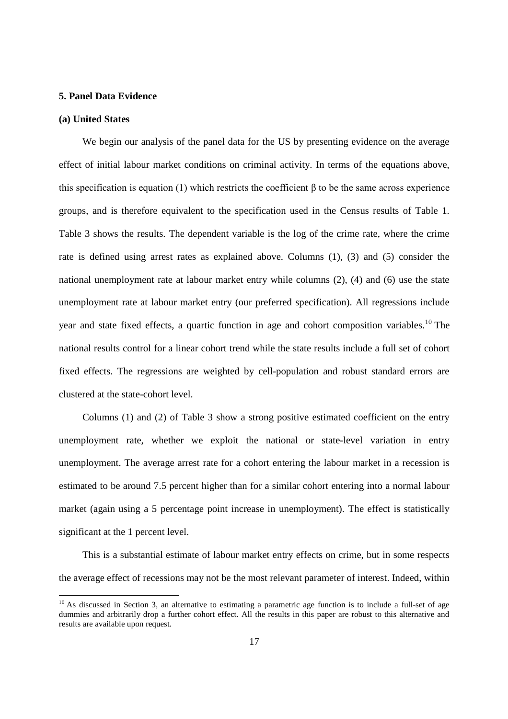#### **5. Panel Data Evidence**

#### **(a) United States**

We begin our analysis of the panel data for the US by presenting evidence on the average effect of initial labour market conditions on criminal activity. In terms of the equations above, this specification is equation (1) which restricts the coefficient β to be the same across experience groups, and is therefore equivalent to the specification used in the Census results of Table 1. Table 3 shows the results. The dependent variable is the log of the crime rate, where the crime rate is defined using arrest rates as explained above. Columns (1), (3) and (5) consider the national unemployment rate at labour market entry while columns (2), (4) and (6) use the state unemployment rate at labour market entry (our preferred specification). All regressions include year and state fixed effects, a quartic function in age and cohort composition variables.<sup>10</sup> The national results control for a linear cohort trend while the state results include a full set of cohort fixed effects. The regressions are weighted by cell-population and robust standard errors are clustered at the state-cohort level.

Columns (1) and (2) of Table 3 show a strong positive estimated coefficient on the entry unemployment rate, whether we exploit the national or state-level variation in entry unemployment. The average arrest rate for a cohort entering the labour market in a recession is estimated to be around 7.5 percent higher than for a similar cohort entering into a normal labour market (again using a 5 percentage point increase in unemployment). The effect is statistically significant at the 1 percent level.

This is a substantial estimate of labour market entry effects on crime, but in some respects the average effect of recessions may not be the most relevant parameter of interest. Indeed, within

<sup>&</sup>lt;sup>10</sup> As discussed in Section 3, an alternative to estimating a parametric age function is to include a full-set of age dummies and arbitrarily drop a further cohort effect. All the results in this paper are robust to this alternative and results are available upon request.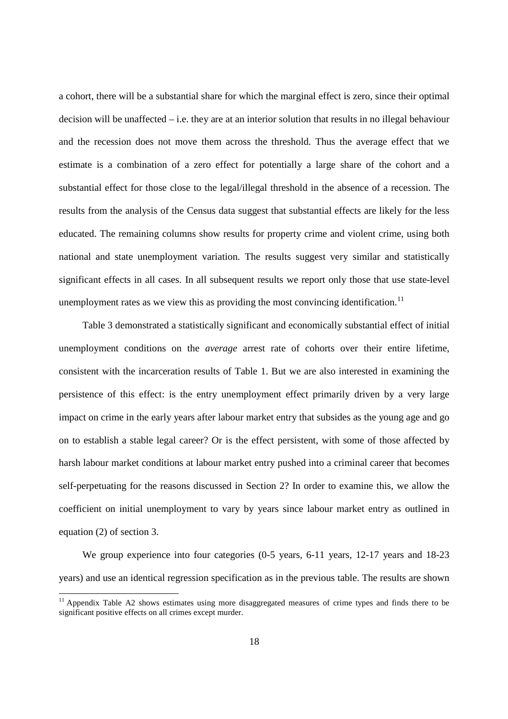a cohort, there will be a substantial share for which the marginal effect is zero, since their optimal decision will be unaffected – i.e. they are at an interior solution that results in no illegal behaviour and the recession does not move them across the threshold. Thus the average effect that we estimate is a combination of a zero effect for potentially a large share of the cohort and a substantial effect for those close to the legal/illegal threshold in the absence of a recession. The results from the analysis of the Census data suggest that substantial effects are likely for the less educated. The remaining columns show results for property crime and violent crime, using both national and state unemployment variation. The results suggest very similar and statistically significant effects in all cases. In all subsequent results we report only those that use state-level unemployment rates as we view this as providing the most convincing identification.<sup>11</sup>

Table 3 demonstrated a statistically significant and economically substantial effect of initial unemployment conditions on the *average* arrest rate of cohorts over their entire lifetime, consistent with the incarceration results of Table 1. But we are also interested in examining the persistence of this effect: is the entry unemployment effect primarily driven by a very large impact on crime in the early years after labour market entry that subsides as the young age and go on to establish a stable legal career? Or is the effect persistent, with some of those affected by harsh labour market conditions at labour market entry pushed into a criminal career that becomes self-perpetuating for the reasons discussed in Section 2? In order to examine this, we allow the coefficient on initial unemployment to vary by years since labour market entry as outlined in equation (2) of section 3.

We group experience into four categories (0-5 years, 6-11 years, 12-17 years and 18-23 years) and use an identical regression specification as in the previous table. The results are shown

<sup>&</sup>lt;sup>11</sup> Appendix Table A2 shows estimates using more disaggregated measures of crime types and finds there to be significant positive effects on all crimes except murder.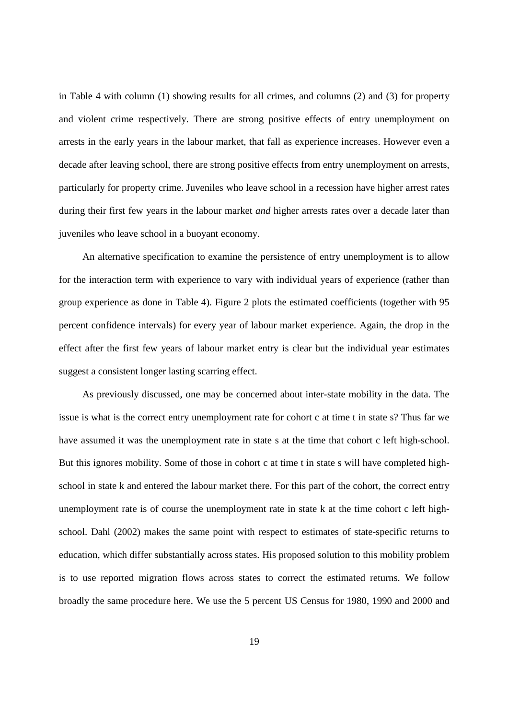in Table 4 with column (1) showing results for all crimes, and columns (2) and (3) for property and violent crime respectively. There are strong positive effects of entry unemployment on arrests in the early years in the labour market, that fall as experience increases. However even a decade after leaving school, there are strong positive effects from entry unemployment on arrests, particularly for property crime. Juveniles who leave school in a recession have higher arrest rates during their first few years in the labour market *and* higher arrests rates over a decade later than juveniles who leave school in a buoyant economy.

An alternative specification to examine the persistence of entry unemployment is to allow for the interaction term with experience to vary with individual years of experience (rather than group experience as done in Table 4). Figure 2 plots the estimated coefficients (together with 95 percent confidence intervals) for every year of labour market experience. Again, the drop in the effect after the first few years of labour market entry is clear but the individual year estimates suggest a consistent longer lasting scarring effect.

As previously discussed, one may be concerned about inter-state mobility in the data. The issue is what is the correct entry unemployment rate for cohort c at time t in state s? Thus far we have assumed it was the unemployment rate in state s at the time that cohort c left high-school. But this ignores mobility. Some of those in cohort c at time t in state s will have completed highschool in state k and entered the labour market there. For this part of the cohort, the correct entry unemployment rate is of course the unemployment rate in state k at the time cohort c left highschool. Dahl (2002) makes the same point with respect to estimates of state-specific returns to education, which differ substantially across states. His proposed solution to this mobility problem is to use reported migration flows across states to correct the estimated returns. We follow broadly the same procedure here. We use the 5 percent US Census for 1980, 1990 and 2000 and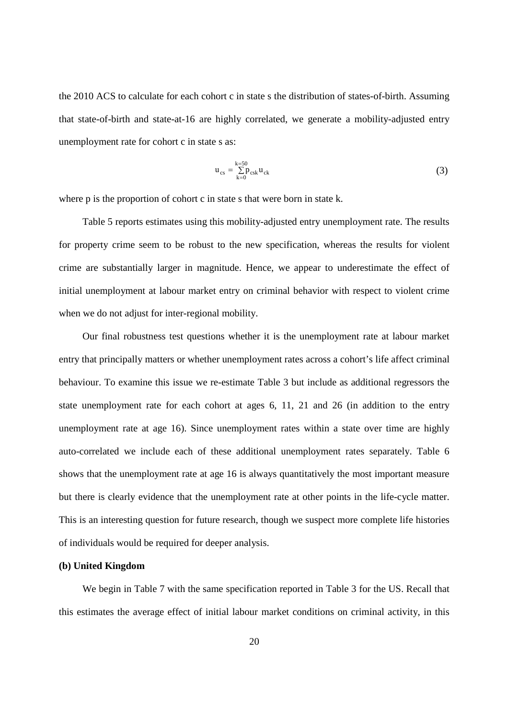the 2010 ACS to calculate for each cohort c in state s the distribution of states-of-birth. Assuming that state-of-birth and state-at-16 are highly correlated, we generate a mobility-adjusted entry unemployment rate for cohort c in state s as:

$$
u_{cs} = \sum_{k=0}^{k=50} p_{csk} u_{ck}
$$
 (3)

where p is the proportion of cohort c in state s that were born in state k.

Table 5 reports estimates using this mobility-adjusted entry unemployment rate. The results for property crime seem to be robust to the new specification, whereas the results for violent crime are substantially larger in magnitude. Hence, we appear to underestimate the effect of initial unemployment at labour market entry on criminal behavior with respect to violent crime when we do not adjust for inter-regional mobility.

Our final robustness test questions whether it is the unemployment rate at labour market entry that principally matters or whether unemployment rates across a cohort's life affect criminal behaviour. To examine this issue we re-estimate Table 3 but include as additional regressors the state unemployment rate for each cohort at ages 6, 11, 21 and 26 (in addition to the entry unemployment rate at age 16). Since unemployment rates within a state over time are highly auto-correlated we include each of these additional unemployment rates separately. Table 6 shows that the unemployment rate at age 16 is always quantitatively the most important measure but there is clearly evidence that the unemployment rate at other points in the life-cycle matter. This is an interesting question for future research, though we suspect more complete life histories of individuals would be required for deeper analysis.

#### **(b) United Kingdom**

We begin in Table 7 with the same specification reported in Table 3 for the US. Recall that this estimates the average effect of initial labour market conditions on criminal activity, in this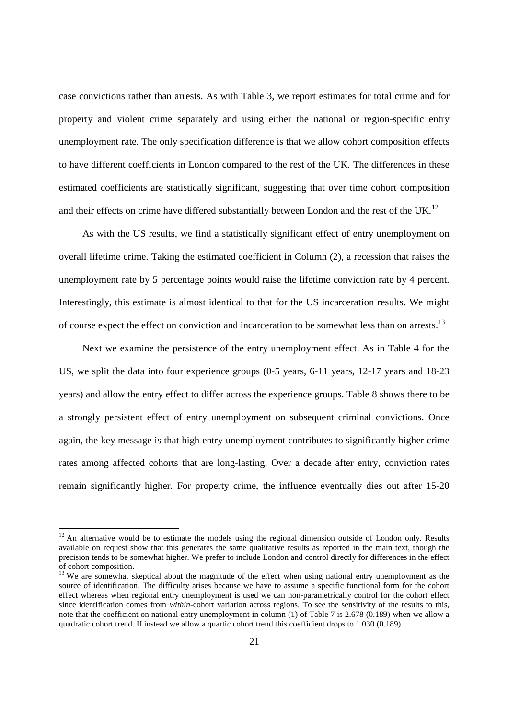case convictions rather than arrests. As with Table 3, we report estimates for total crime and for property and violent crime separately and using either the national or region-specific entry unemployment rate. The only specification difference is that we allow cohort composition effects to have different coefficients in London compared to the rest of the UK. The differences in these estimated coefficients are statistically significant, suggesting that over time cohort composition and their effects on crime have differed substantially between London and the rest of the UK.<sup>12</sup>

As with the US results, we find a statistically significant effect of entry unemployment on overall lifetime crime. Taking the estimated coefficient in Column (2), a recession that raises the unemployment rate by 5 percentage points would raise the lifetime conviction rate by 4 percent. Interestingly, this estimate is almost identical to that for the US incarceration results. We might of course expect the effect on conviction and incarceration to be somewhat less than on arrests.<sup>13</sup>

Next we examine the persistence of the entry unemployment effect. As in Table 4 for the US, we split the data into four experience groups (0-5 years, 6-11 years, 12-17 years and 18-23 years) and allow the entry effect to differ across the experience groups. Table 8 shows there to be a strongly persistent effect of entry unemployment on subsequent criminal convictions. Once again, the key message is that high entry unemployment contributes to significantly higher crime rates among affected cohorts that are long-lasting. Over a decade after entry, conviction rates remain significantly higher. For property crime, the influence eventually dies out after 15-20

<sup>&</sup>lt;sup>12</sup> An alternative would be to estimate the models using the regional dimension outside of London only. Results available on request show that this generates the same qualitative results as reported in the main text, though the precision tends to be somewhat higher. We prefer to include London and control directly for differences in the effect of cohort composition.

<sup>&</sup>lt;sup>13</sup> We are somewhat skeptical about the magnitude of the effect when using national entry unemployment as the source of identification. The difficulty arises because we have to assume a specific functional form for the cohort effect whereas when regional entry unemployment is used we can non-parametrically control for the cohort effect since identification comes from *within*-cohort variation across regions. To see the sensitivity of the results to this, note that the coefficient on national entry unemployment in column (1) of Table 7 is 2.678 (0.189) when we allow a quadratic cohort trend. If instead we allow a quartic cohort trend this coefficient drops to 1.030 (0.189).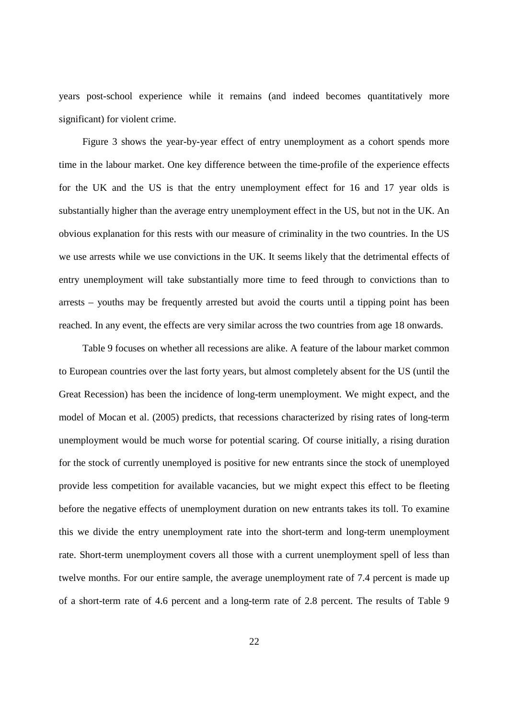years post-school experience while it remains (and indeed becomes quantitatively more significant) for violent crime.

Figure 3 shows the year-by-year effect of entry unemployment as a cohort spends more time in the labour market. One key difference between the time-profile of the experience effects for the UK and the US is that the entry unemployment effect for 16 and 17 year olds is substantially higher than the average entry unemployment effect in the US, but not in the UK. An obvious explanation for this rests with our measure of criminality in the two countries. In the US we use arrests while we use convictions in the UK. It seems likely that the detrimental effects of entry unemployment will take substantially more time to feed through to convictions than to arrests – youths may be frequently arrested but avoid the courts until a tipping point has been reached. In any event, the effects are very similar across the two countries from age 18 onwards.

Table 9 focuses on whether all recessions are alike. A feature of the labour market common to European countries over the last forty years, but almost completely absent for the US (until the Great Recession) has been the incidence of long-term unemployment. We might expect, and the model of Mocan et al. (2005) predicts, that recessions characterized by rising rates of long-term unemployment would be much worse for potential scaring. Of course initially, a rising duration for the stock of currently unemployed is positive for new entrants since the stock of unemployed provide less competition for available vacancies, but we might expect this effect to be fleeting before the negative effects of unemployment duration on new entrants takes its toll. To examine this we divide the entry unemployment rate into the short-term and long-term unemployment rate. Short-term unemployment covers all those with a current unemployment spell of less than twelve months. For our entire sample, the average unemployment rate of 7.4 percent is made up of a short-term rate of 4.6 percent and a long-term rate of 2.8 percent. The results of Table 9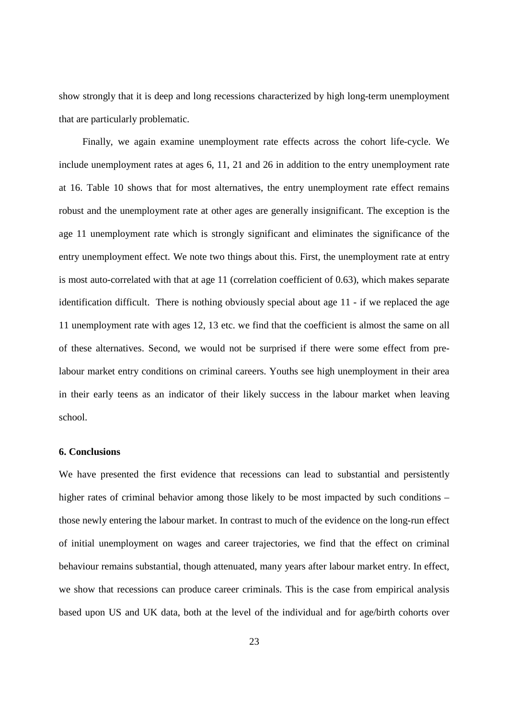show strongly that it is deep and long recessions characterized by high long-term unemployment that are particularly problematic.

Finally, we again examine unemployment rate effects across the cohort life-cycle. We include unemployment rates at ages 6, 11, 21 and 26 in addition to the entry unemployment rate at 16. Table 10 shows that for most alternatives, the entry unemployment rate effect remains robust and the unemployment rate at other ages are generally insignificant. The exception is the age 11 unemployment rate which is strongly significant and eliminates the significance of the entry unemployment effect. We note two things about this. First, the unemployment rate at entry is most auto-correlated with that at age 11 (correlation coefficient of 0.63), which makes separate identification difficult. There is nothing obviously special about age 11 - if we replaced the age 11 unemployment rate with ages 12, 13 etc. we find that the coefficient is almost the same on all of these alternatives. Second, we would not be surprised if there were some effect from prelabour market entry conditions on criminal careers. Youths see high unemployment in their area in their early teens as an indicator of their likely success in the labour market when leaving school.

#### **6. Conclusions**

We have presented the first evidence that recessions can lead to substantial and persistently higher rates of criminal behavior among those likely to be most impacted by such conditions – those newly entering the labour market. In contrast to much of the evidence on the long-run effect of initial unemployment on wages and career trajectories, we find that the effect on criminal behaviour remains substantial, though attenuated, many years after labour market entry. In effect, we show that recessions can produce career criminals. This is the case from empirical analysis based upon US and UK data, both at the level of the individual and for age/birth cohorts over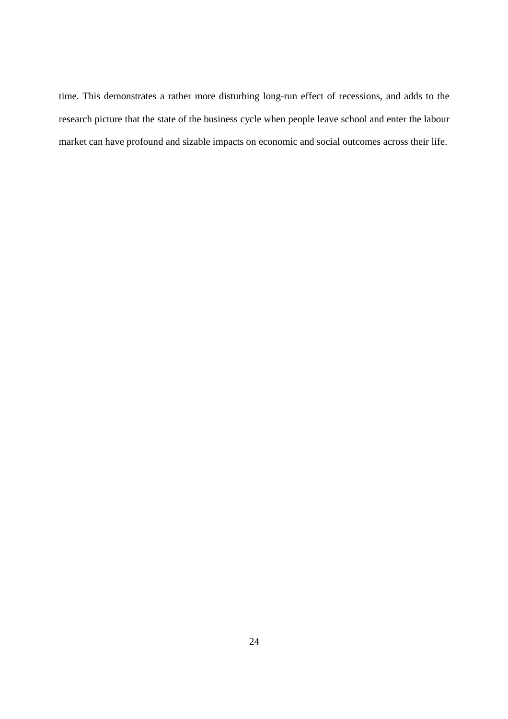time. This demonstrates a rather more disturbing long-run effect of recessions, and adds to the research picture that the state of the business cycle when people leave school and enter the labour market can have profound and sizable impacts on economic and social outcomes across their life.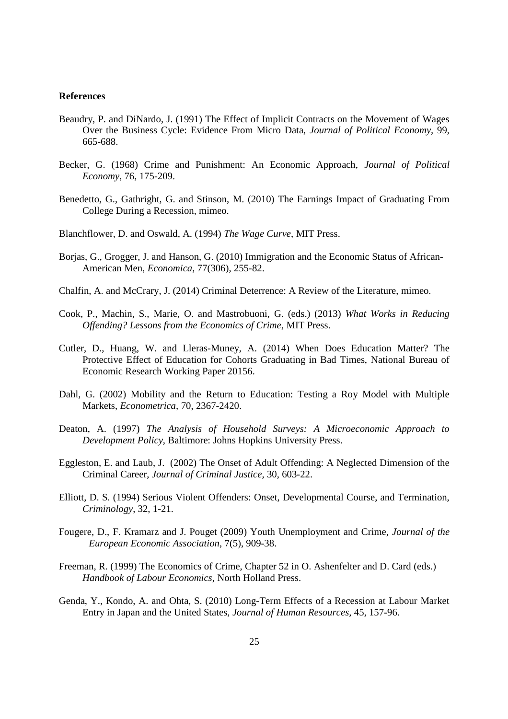#### **References**

- Beaudry, P. and DiNardo, J. (1991) The Effect of Implicit Contracts on the Movement of Wages Over the Business Cycle: Evidence From Micro Data, *Journal of Political Economy,* 99, 665-688.
- Becker, G. (1968) Crime and Punishment: An Economic Approach, *Journal of Political Economy*, 76, 175-209.
- Benedetto, G., Gathright, G. and Stinson, M. (2010) The Earnings Impact of Graduating From College During a Recession, mimeo.
- Blanchflower, D. and Oswald, A. (1994) *The Wage Curve*, MIT Press.
- Borjas, G., Grogger, J. and Hanson, G. (2010) Immigration and the Economic Status of African-American Men, *Economica*, 77(306), 255-82.
- Chalfin, A. and McCrary, J. (2014) Criminal Deterrence: A Review of the Literature, mimeo.
- Cook, P., Machin, S., Marie, O. and Mastrobuoni, G. (eds.) (2013) *What Works in Reducing Offending? Lessons from the Economics of Crime*, MIT Press.
- Cutler, D., Huang, W. and Lleras-Muney, A. (2014) When Does Education Matter? The Protective Effect of Education for Cohorts Graduating in Bad Times, National Bureau of Economic Research Working Paper 20156.
- Dahl, G. (2002) Mobility and the Return to Education: Testing a Roy Model with Multiple Markets, *Econometrica,* 70, 2367-2420.
- Deaton, A. (1997) *The Analysis of Household Surveys: A Microeconomic Approach to Development Policy*, Baltimore: Johns Hopkins University Press.
- Eggleston, E. and Laub, J. (2002) The Onset of Adult Offending: A Neglected Dimension of the Criminal Career, *Journal of Criminal Justice,* 30, 603-22.
- Elliott, D. S. (1994) Serious Violent Offenders: Onset, Developmental Course, and Termination, *Criminology*, 32, 1-21.
- Fougere, D., F. Kramarz and J. Pouget (2009) Youth Unemployment and Crime, *Journal of the European Economic Association*, 7(5), 909-38.
- Freeman, R. (1999) The Economics of Crime, Chapter 52 in O. Ashenfelter and D. Card (eds.) *Handbook of Labour Economics*, North Holland Press.
- Genda, Y., Kondo, A. and Ohta, S. (2010) Long-Term Effects of a Recession at Labour Market Entry in Japan and the United States, *Journal of Human Resources,* 45, 157-96.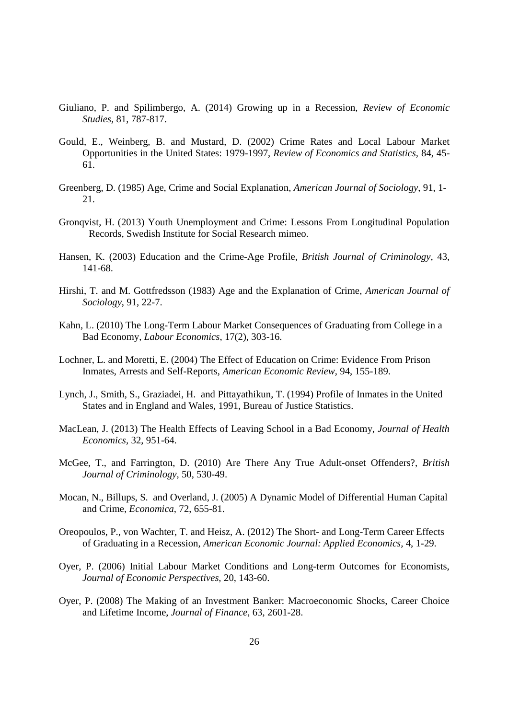- Giuliano, P. and Spilimbergo, A. (2014) Growing up in a Recession, *Review of Economic Studies,* 81, 787-817.
- Gould, E., Weinberg, B. and Mustard, D. (2002) Crime Rates and Local Labour Market Opportunities in the United States: 1979-1997, *Review of Economics and Statistics,* 84, 45- 61.
- Greenberg, D. (1985) Age, Crime and Social Explanation, *American Journal of Sociology*, 91, 1- 21.
- Gronqvist, H. (2013) Youth Unemployment and Crime: Lessons From Longitudinal Population Records, Swedish Institute for Social Research mimeo.
- Hansen, K. (2003) Education and the Crime-Age Profile, *British Journal of Criminology*, 43, 141-68.
- Hirshi, T. and M. Gottfredsson (1983) Age and the Explanation of Crime, *American Journal of Sociology*, 91, 22-7.
- Kahn, L. (2010) The Long-Term Labour Market Consequences of Graduating from College in a Bad Economy, *Labour Economics*, 17(2), 303-16.
- Lochner, L. and Moretti, E. (2004) The Effect of Education on Crime: Evidence From Prison Inmates, Arrests and Self-Reports, *American Economic Review*, 94, 155-189.
- Lynch, J., Smith, S., Graziadei, H. and Pittayathikun, T. (1994) Profile of Inmates in the United States and in England and Wales, 1991, Bureau of Justice Statistics.
- MacLean, J. (2013) The Health Effects of Leaving School in a Bad Economy, *Journal of Health Economics,* 32, 951-64.
- McGee, T., and Farrington, D. (2010) Are There Any True Adult-onset Offenders?, *British Journal of Criminology,* 50, 530-49.
- Mocan, N., Billups, S. and Overland, J. (2005) A Dynamic Model of Differential Human Capital and Crime, *Economica*, 72, 655-81.
- Oreopoulos, P., von Wachter, T. and Heisz, A. (2012) The Short- and Long-Term Career Effects of Graduating in a Recession, *American Economic Journal: Applied Economics,* 4, 1-29.
- Oyer, P. (2006) Initial Labour Market Conditions and Long-term Outcomes for Economists, *Journal of Economic Perspectives,* 20, 143-60.
- Oyer, P. (2008) The Making of an Investment Banker: Macroeconomic Shocks, Career Choice and Lifetime Income, *Journal of Finance*, 63, 2601-28.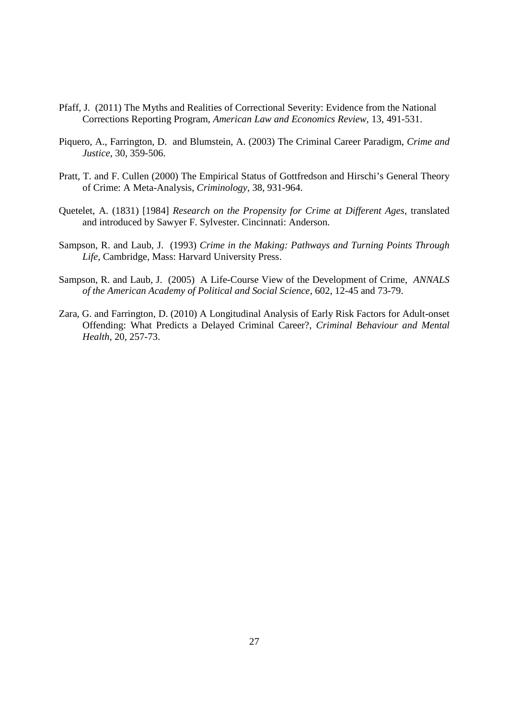- Pfaff, J. (2011) The Myths and Realities of Correctional Severity: Evidence from the National Corrections Reporting Program, *American Law and Economics Review,* 13, 491-531.
- Piquero, A., Farrington, D. and Blumstein, A. (2003) The Criminal Career Paradigm, *Crime and Justice*, 30, 359-506.
- Pratt, T. and F. Cullen (2000) The Empirical Status of Gottfredson and Hirschi's General Theory of Crime: A Meta-Analysis, *Criminology*, 38, 931-964.
- Quetelet, A. (1831) [1984] *Research on the Propensity for Crime at Different Ages*, translated and introduced by Sawyer F. Sylvester. Cincinnati: Anderson.
- Sampson, R. and Laub, J. (1993) *Crime in the Making: Pathways and Turning Points Through Life,* Cambridge, Mass: Harvard University Press.
- Sampson, R. and Laub, J. (2005) A Life-Course View of the Development of Crime, *ANNALS of the American Academy of Political and Social Science*, 602, 12-45 and 73-79.
- Zara, G. and Farrington, D. (2010) A Longitudinal Analysis of Early Risk Factors for Adult-onset Offending: What Predicts a Delayed Criminal Career?, *Criminal Behaviour and Mental Health,* 20, 257-73.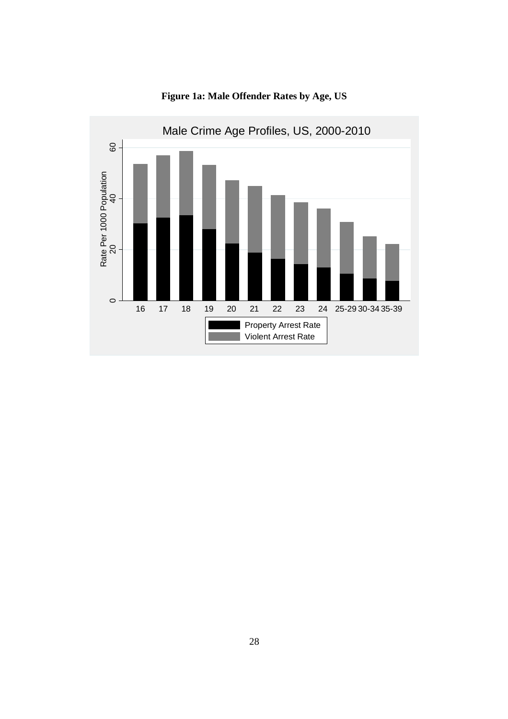

**Figure 1a: Male Offender Rates by Age, US**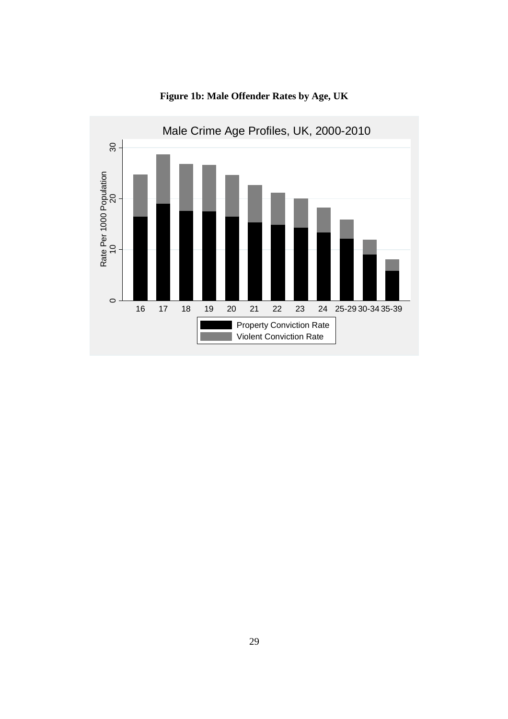

**Figure 1b: Male Offender Rates by Age, UK**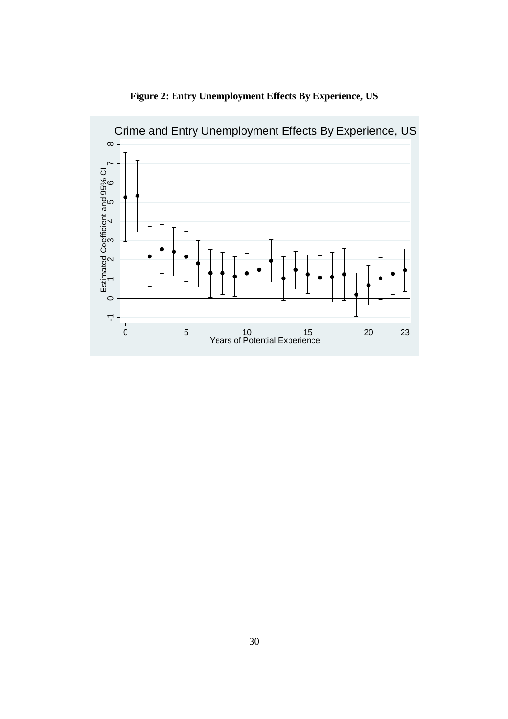

**Figure 2: Entry Unemployment Effects By Experience, US**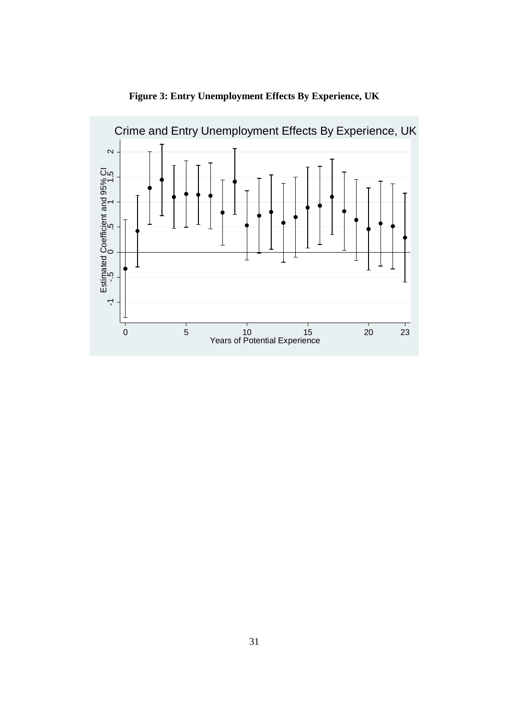

**Figure 3: Entry Unemployment Effects By Experience, UK**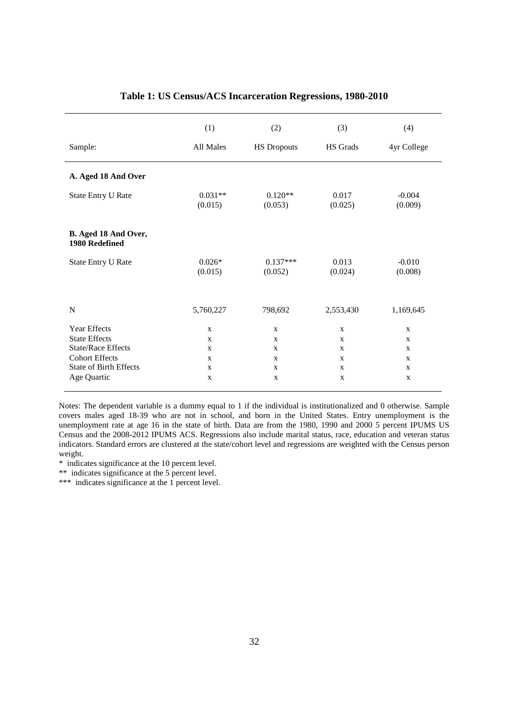|                                        | (1)                  | (2)<br>(3)            |                  | (4)                 |
|----------------------------------------|----------------------|-----------------------|------------------|---------------------|
| Sample:                                | All Males            | <b>HS Dropouts</b>    | HS Grads         | 4yr College         |
| A. Aged 18 And Over                    |                      |                       |                  |                     |
| State Entry U Rate                     | $0.031**$<br>(0.015) | $0.120**$<br>(0.053)  | 0.017<br>(0.025) | $-0.004$<br>(0.009) |
| B. Aged 18 And Over,<br>1980 Redefined |                      |                       |                  |                     |
| State Entry U Rate                     | $0.026*$<br>(0.015)  | $0.137***$<br>(0.052) | 0.013<br>(0.024) | $-0.010$<br>(0.008) |
| N                                      | 5,760,227            | 798,692               | 2,553,430        | 1,169,645           |
| <b>Year Effects</b>                    | $\mathbf{x}$         | $\mathbf{X}$          | $\mathbf{x}$     | $\mathbf{x}$        |
| <b>State Effects</b>                   | $\mathbf{X}$         | X                     | X                | X                   |
| <b>State/Race Effects</b>              | $\mathbf{X}$         | $\mathbf{X}$          | $\mathbf{X}$     | $\mathbf{X}$        |
| <b>Cohort Effects</b>                  | $\mathbf{X}$         | $\mathbf{X}$          | X                | X                   |
| <b>State of Birth Effects</b>          | $\mathbf{x}$         | $\mathbf{X}$          | X                | $\mathbf{X}$        |
| Age Quartic                            | $\mathbf x$          | $\mathbf X$           | $\mathbf X$      | X                   |

#### **Table 1: US Census/ACS Incarceration Regressions, 1980-2010**

Notes: The dependent variable is a dummy equal to 1 if the individual is institutionalized and 0 otherwise. Sample covers males aged 18-39 who are not in school, and born in the United States. Entry unemployment is the unemployment rate at age 16 in the state of birth. Data are from the 1980, 1990 and 2000 5 percent IPUMS US Census and the 2008-2012 IPUMS ACS. Regressions also include marital status, race, education and veteran status indicators. Standard errors are clustered at the state/cohort level and regressions are weighted with the Census person weight.

\* indicates significance at the 10 percent level.

\*\* indicates significance at the 5 percent level.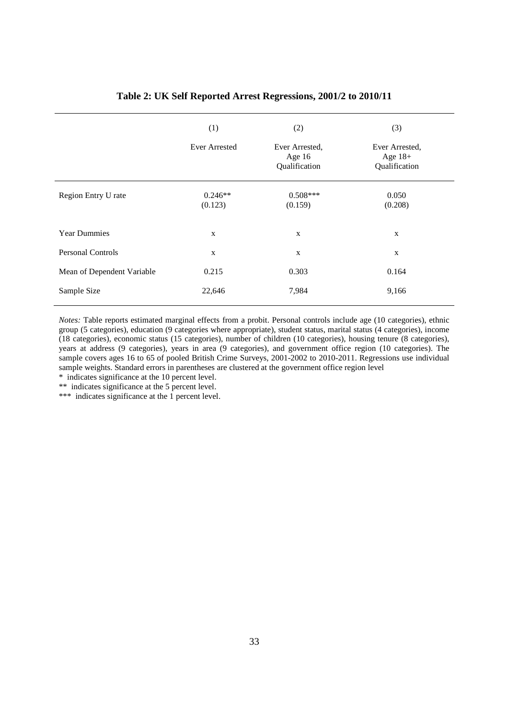|                            | (1)<br><b>Ever Arrested</b> | (2)<br>Ever Arrested,<br>Age $16$<br>Qualification | (3)<br>Ever Arrested,<br>Age $18+$<br>Qualification |
|----------------------------|-----------------------------|----------------------------------------------------|-----------------------------------------------------|
| Region Entry U rate        | $0.246**$<br>(0.123)        | $0.508***$<br>(0.159)                              | 0.050<br>(0.208)                                    |
| <b>Year Dummies</b>        | X                           | $\mathbf X$                                        | X                                                   |
| <b>Personal Controls</b>   | $\mathbf{X}$                | X                                                  | $\mathbf X$                                         |
| Mean of Dependent Variable | 0.215                       | 0.303                                              | 0.164                                               |
| Sample Size                | 22,646                      | 7,984                                              | 9,166                                               |

#### **Table 2: UK Self Reported Arrest Regressions, 2001/2 to 2010/11**

*Notes:* Table reports estimated marginal effects from a probit. Personal controls include age (10 categories), ethnic group (5 categories), education (9 categories where appropriate), student status, marital status (4 categories), income (18 categories), economic status (15 categories), number of children (10 categories), housing tenure (8 categories), years at address (9 categories), years in area (9 categories), and government office region (10 categories). The sample covers ages 16 to 65 of pooled British Crime Surveys, 2001-2002 to 2010-2011. Regressions use individual sample weights. Standard errors in parentheses are clustered at the government office region level

\* indicates significance at the 10 percent level.

\*\* indicates significance at the 5 percent level.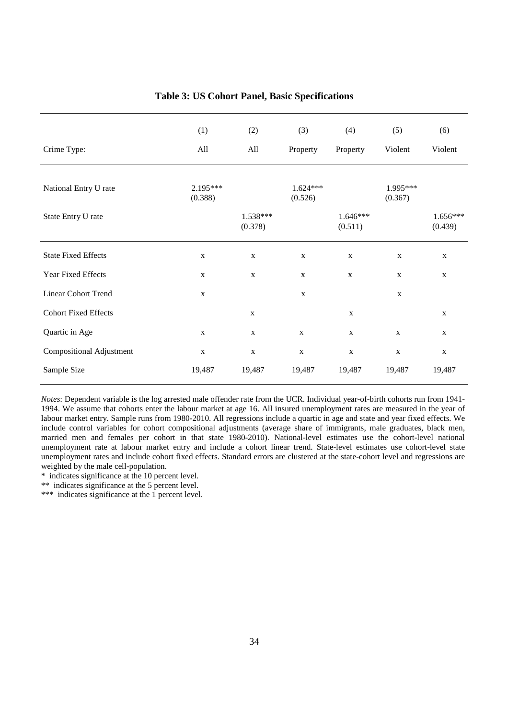|                                 | (1)                 | (2)                   | (3)                   | (4)                   | (5)                 | (6)                   |
|---------------------------------|---------------------|-----------------------|-----------------------|-----------------------|---------------------|-----------------------|
| Crime Type:                     | All                 | All                   | Property              | Property              | Violent             | Violent               |
| National Entry U rate           | 2.195***<br>(0.388) |                       | $1.624***$<br>(0.526) |                       | 1.995***<br>(0.367) |                       |
| State Entry U rate              |                     | $1.538***$<br>(0.378) |                       | $1.646***$<br>(0.511) |                     | $1.656***$<br>(0.439) |
| <b>State Fixed Effects</b>      | $\mathbf X$         | $\mathbf X$           | $\mathbf X$           | $\mathbf X$           | $\mathbf X$         | $\mathbf X$           |
| Year Fixed Effects              | $\mathbf X$         | $\mathbf X$           | $\mathbf x$           | $\mathbf X$           | $\mathbf X$         | $\mathbf{X}$          |
| <b>Linear Cohort Trend</b>      | $\mathbf X$         |                       | $\mathbf X$           |                       | $\mathbf X$         |                       |
| <b>Cohort Fixed Effects</b>     |                     | $\mathbf X$           |                       | $\mathbf X$           |                     | $\mathbf X$           |
| Quartic in Age                  | $\mathbf X$         | $\mathbf X$           | $\mathbf X$           | $\mathbf X$           | $\mathbf X$         | $\mathbf x$           |
| <b>Compositional Adjustment</b> | $\mathbf X$         | $\mathbf X$           | $\mathbf X$           | $\mathbf X$           | $\mathbf X$         | $\mathbf{X}$          |
| Sample Size                     | 19,487              | 19,487                | 19,487                | 19,487                | 19,487              | 19,487                |

#### **Table 3: US Cohort Panel, Basic Specifications**

*Notes*: Dependent variable is the log arrested male offender rate from the UCR. Individual year-of-birth cohorts run from 1941- 1994. We assume that cohorts enter the labour market at age 16. All insured unemployment rates are measured in the year of labour market entry. Sample runs from 1980-2010. All regressions include a quartic in age and state and year fixed effects. We include control variables for cohort compositional adjustments (average share of immigrants, male graduates, black men, married men and females per cohort in that state 1980-2010). National-level estimates use the cohort-level national unemployment rate at labour market entry and include a cohort linear trend. State-level estimates use cohort-level state unemployment rates and include cohort fixed effects. Standard errors are clustered at the state-cohort level and regressions are weighted by the male cell-population.

\* indicates significance at the 10 percent level.

\*\* indicates significance at the 5 percent level.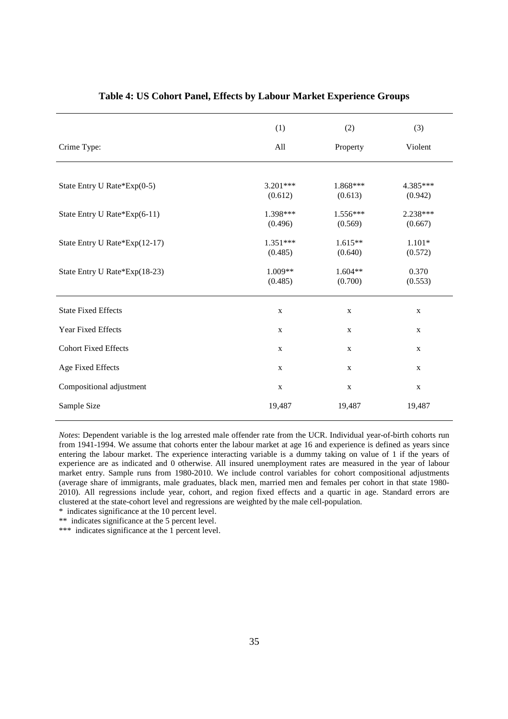|                               | (1)         | (2)         | (3)         |
|-------------------------------|-------------|-------------|-------------|
| Crime Type:                   | All         | Property    | Violent     |
|                               |             |             |             |
| State Entry U Rate*Exp(0-5)   | $3.201***$  | 1.868***    | 4.385***    |
|                               | (0.612)     | (0.613)     | (0.942)     |
| State Entry U Rate*Exp(6-11)  | 1.398***    | 1.556***    | 2.238***    |
|                               | (0.496)     | (0.569)     | (0.667)     |
| State Entry U Rate*Exp(12-17) | $1.351***$  | $1.615**$   | $1.101*$    |
|                               | (0.485)     | (0.640)     | (0.572)     |
| State Entry U Rate*Exp(18-23) | 1.009**     | $1.604**$   | 0.370       |
|                               | (0.485)     | (0.700)     | (0.553)     |
| <b>State Fixed Effects</b>    | X           | $\mathbf X$ | $\mathbf X$ |
| Year Fixed Effects            | $\mathbf X$ | $\mathbf X$ | $\mathbf X$ |
| <b>Cohort Fixed Effects</b>   | $\mathbf X$ | $\mathbf X$ | $\mathbf X$ |
| Age Fixed Effects             | $\mathbf X$ | $\mathbf X$ | $\mathbf X$ |
| Compositional adjustment      | $\mathbf X$ | $\mathbf X$ | $\mathbf X$ |
| Sample Size                   | 19,487      | 19,487      | 19,487      |

#### **Table 4: US Cohort Panel, Effects by Labour Market Experience Groups**

*Notes*: Dependent variable is the log arrested male offender rate from the UCR. Individual year-of-birth cohorts run from 1941-1994. We assume that cohorts enter the labour market at age 16 and experience is defined as years since entering the labour market. The experience interacting variable is a dummy taking on value of 1 if the years of experience are as indicated and 0 otherwise. All insured unemployment rates are measured in the year of labour market entry. Sample runs from 1980-2010. We include control variables for cohort compositional adjustments (average share of immigrants, male graduates, black men, married men and females per cohort in that state 1980- 2010). All regressions include year, cohort, and region fixed effects and a quartic in age. Standard errors are clustered at the state-cohort level and regressions are weighted by the male cell-population.

\* indicates significance at the 10 percent level.

\*\* indicates significance at the 5 percent level.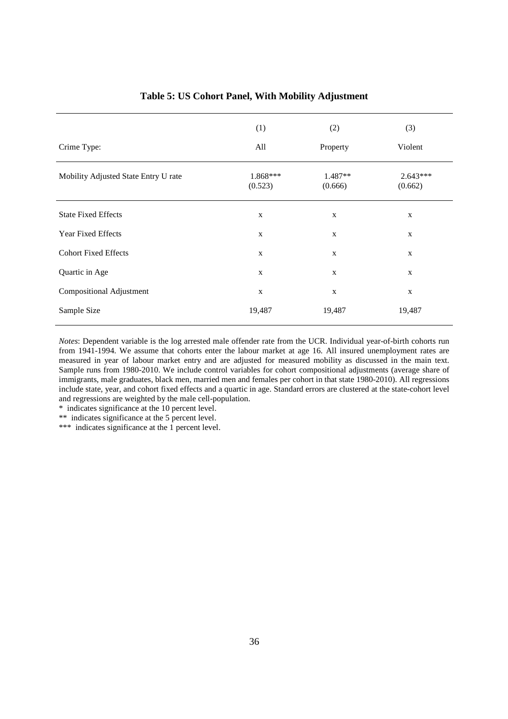|                                      | (1)                 | (2)                  | (3)                   |
|--------------------------------------|---------------------|----------------------|-----------------------|
| Crime Type:                          | All                 | Property             | Violent               |
| Mobility Adjusted State Entry U rate | 1.868***<br>(0.523) | $1.487**$<br>(0.666) | $2.643***$<br>(0.662) |
| <b>State Fixed Effects</b>           | $\mathbf X$         | $\mathbf X$          | $\mathbf X$           |
| Year Fixed Effects                   | $\mathbf X$         | $\mathbf X$          | $\mathbf X$           |
| <b>Cohort Fixed Effects</b>          | $\mathbf{X}$        | $\mathbf X$          | $\mathbf X$           |
| Quartic in Age                       | $\mathbf{X}$        | $\mathbf{X}$         | $\mathbf X$           |
| <b>Compositional Adjustment</b>      | $\mathbf X$         | $\mathbf X$          | $\mathbf X$           |
| Sample Size                          | 19,487              | 19,487               | 19,487                |

#### **Table 5: US Cohort Panel, With Mobility Adjustment**

*Notes*: Dependent variable is the log arrested male offender rate from the UCR. Individual year-of-birth cohorts run from 1941-1994. We assume that cohorts enter the labour market at age 16. All insured unemployment rates are measured in year of labour market entry and are adjusted for measured mobility as discussed in the main text. Sample runs from 1980-2010. We include control variables for cohort compositional adjustments (average share of immigrants, male graduates, black men, married men and females per cohort in that state 1980-2010). All regressions include state, year, and cohort fixed effects and a quartic in age. Standard errors are clustered at the state-cohort level and regressions are weighted by the male cell-population.

\* indicates significance at the 10 percent level.

\*\* indicates significance at the 5 percent level.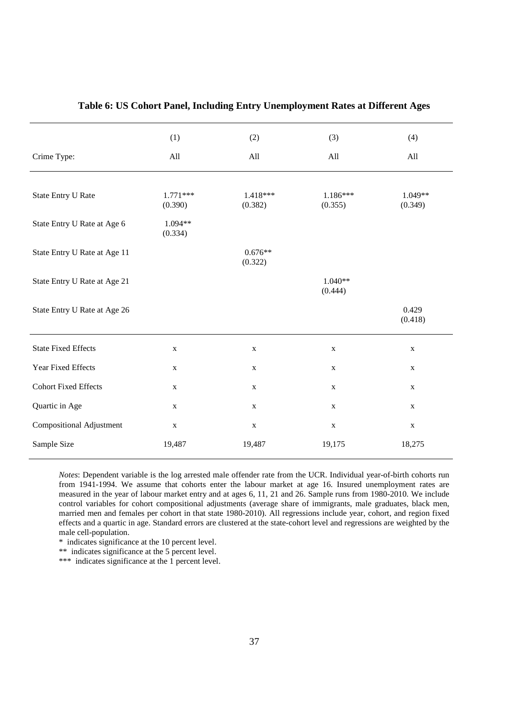|                                 | (1)                   | (2)                   | (3)                   | (4)                |
|---------------------------------|-----------------------|-----------------------|-----------------------|--------------------|
| Crime Type:                     | All                   | All                   | All                   | All                |
|                                 |                       |                       |                       |                    |
| <b>State Entry U Rate</b>       | $1.771***$<br>(0.390) | $1.418***$<br>(0.382) | $1.186***$<br>(0.355) | 1.049**<br>(0.349) |
| State Entry U Rate at Age 6     | 1.094**<br>(0.334)    |                       |                       |                    |
| State Entry U Rate at Age 11    |                       | $0.676**$<br>(0.322)  |                       |                    |
| State Entry U Rate at Age 21    |                       |                       | $1.040**$<br>(0.444)  |                    |
| State Entry U Rate at Age 26    |                       |                       |                       | 0.429<br>(0.418)   |
| <b>State Fixed Effects</b>      | $\mathbf X$           | $\mathbf X$           | $\mathbf X$           | $\mathbf X$        |
| Year Fixed Effects              | $\mathbf X$           | $\mathbf X$           | $\mathbf X$           | $\mathbf X$        |
| <b>Cohort Fixed Effects</b>     | $\mathbf X$           | $\mathbf X$           | $\mathbf X$           | $\mathbf X$        |
| Quartic in Age                  | $\mathbf X$           | $\mathbf X$           | $\mathbf X$           | $\mathbf X$        |
| <b>Compositional Adjustment</b> | $\mathbf X$           | $\mathbf X$           | $\mathbf X$           | $\mathbf X$        |
| Sample Size                     | 19,487                | 19,487                | 19,175                | 18,275             |

#### **Table 6: US Cohort Panel, Including Entry Unemployment Rates at Different Ages**

*Notes*: Dependent variable is the log arrested male offender rate from the UCR. Individual year-of-birth cohorts run from 1941-1994. We assume that cohorts enter the labour market at age 16. Insured unemployment rates are measured in the year of labour market entry and at ages 6, 11, 21 and 26. Sample runs from 1980-2010. We include control variables for cohort compositional adjustments (average share of immigrants, male graduates, black men, married men and females per cohort in that state 1980-2010). All regressions include year, cohort, and region fixed effects and a quartic in age. Standard errors are clustered at the state-cohort level and regressions are weighted by the male cell-population.

\* indicates significance at the 10 percent level.

\*\* indicates significance at the 5 percent level.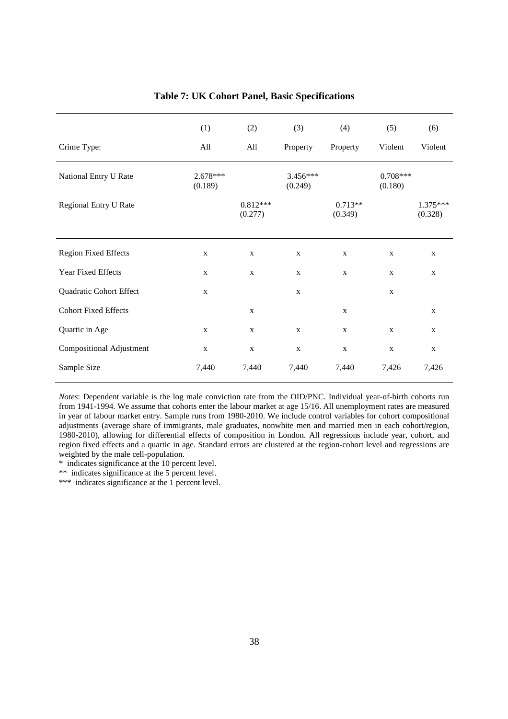|                             | (1)                   | (2)                   | (3)                 | (4)                  | (5)                   | (6)                   |
|-----------------------------|-----------------------|-----------------------|---------------------|----------------------|-----------------------|-----------------------|
| Crime Type:                 | All                   | All                   | Property            | Property             | Violent               | Violent               |
| National Entry U Rate       | $2.678***$<br>(0.189) |                       | 3.456***<br>(0.249) |                      | $0.708***$<br>(0.180) |                       |
| Regional Entry U Rate       |                       | $0.812***$<br>(0.277) |                     | $0.713**$<br>(0.349) |                       | $1.375***$<br>(0.328) |
|                             |                       |                       |                     |                      |                       |                       |
| <b>Region Fixed Effects</b> | $\mathbf X$           | $\mathbf X$           | $\mathbf X$         | $\mathbf X$          | $\mathbf X$           | $\mathbf X$           |
| Year Fixed Effects          | $\mathbf X$           | $\mathbf X$           | $\mathbf X$         | $\mathbf X$          | $\mathbf X$           | $\mathbf X$           |
| Quadratic Cohort Effect     | $\mathbf X$           |                       | $\mathbf{X}$        |                      | $\mathbf x$           |                       |
| <b>Cohort Fixed Effects</b> |                       | $\mathbf{X}$          |                     | $\mathbf X$          |                       | $\mathbf X$           |
| Quartic in Age              | $\mathbf X$           | $\mathbf X$           | $\mathbf X$         | $\mathbf X$          | $\mathbf{X}$          | $\mathbf X$           |
| Compositional Adjustment    | $\mathbf X$           | $\mathbf X$           | $\mathbf X$         | $\mathbf X$          | $\mathbf X$           | $\mathbf X$           |
| Sample Size                 | 7,440                 | 7,440                 | 7,440               | 7,440                | 7,426                 | 7,426                 |

**Table 7: UK Cohort Panel, Basic Specifications**

*Notes*: Dependent variable is the log male conviction rate from the OID/PNC. Individual year-of-birth cohorts run from 1941-1994. We assume that cohorts enter the labour market at age 15/16. All unemployment rates are measured in year of labour market entry. Sample runs from 1980-2010. We include control variables for cohort compositional adjustments (average share of immigrants, male graduates, nonwhite men and married men in each cohort/region, 1980-2010), allowing for differential effects of composition in London. All regressions include year, cohort, and region fixed effects and a quartic in age. Standard errors are clustered at the region-cohort level and regressions are weighted by the male cell-population.

\* indicates significance at the 10 percent level.

\*\* indicates significance at the 5 percent level.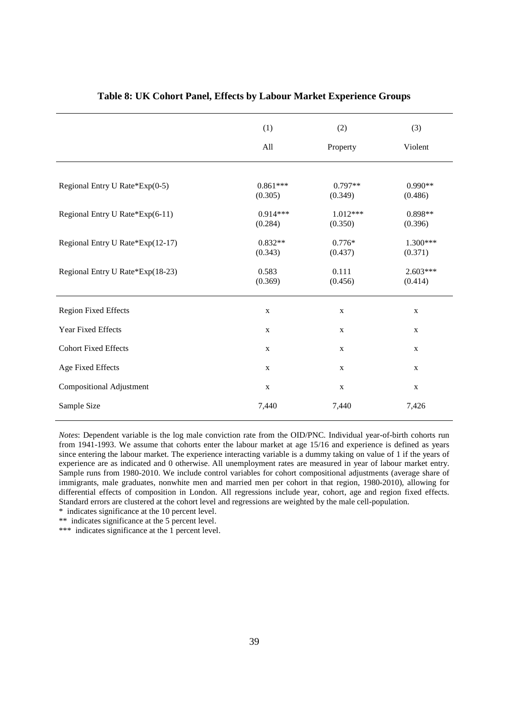|                                  | (1)<br>(2)            |                       | (3)                   |
|----------------------------------|-----------------------|-----------------------|-----------------------|
|                                  | All                   | Property              | Violent               |
|                                  |                       |                       |                       |
| Regional Entry U Rate*Exp(0-5)   | $0.861***$<br>(0.305) | $0.797**$<br>(0.349)  | $0.990**$<br>(0.486)  |
| Regional Entry U Rate*Exp(6-11)  | $0.914***$<br>(0.284) | $1.012***$<br>(0.350) | $0.898**$<br>(0.396)  |
| Regional Entry U Rate*Exp(12-17) | $0.832**$<br>(0.343)  | $0.776*$<br>(0.437)   | 1.300***<br>(0.371)   |
| Regional Entry U Rate*Exp(18-23) | 0.583<br>(0.369)      | 0.111<br>(0.456)      | $2.603***$<br>(0.414) |
| <b>Region Fixed Effects</b>      | $\mathbf X$           | $\mathbf X$           | $\mathbf X$           |
| Year Fixed Effects               | $\mathbf X$           | $\mathbf X$           | $\mathbf X$           |
| <b>Cohort Fixed Effects</b>      | $\mathbf X$           | $\mathbf X$           | $\mathbf X$           |
| Age Fixed Effects                | $\mathbf X$           | $\mathbf X$           | $\mathbf X$           |
| <b>Compositional Adjustment</b>  | $\mathbf X$           | $\mathbf X$           | $\mathbf X$           |
| Sample Size                      | 7,440                 | 7,440                 | 7,426                 |

#### **Table 8: UK Cohort Panel, Effects by Labour Market Experience Groups**

*Notes*: Dependent variable is the log male conviction rate from the OID/PNC. Individual year-of-birth cohorts run from 1941-1993. We assume that cohorts enter the labour market at age 15/16 and experience is defined as years since entering the labour market. The experience interacting variable is a dummy taking on value of 1 if the years of experience are as indicated and 0 otherwise. All unemployment rates are measured in year of labour market entry. Sample runs from 1980-2010. We include control variables for cohort compositional adjustments (average share of immigrants, male graduates, nonwhite men and married men per cohort in that region, 1980-2010), allowing for differential effects of composition in London. All regressions include year, cohort, age and region fixed effects. Standard errors are clustered at the cohort level and regressions are weighted by the male cell-population.

\* indicates significance at the 10 percent level.

\*\* indicates significance at the 5 percent level.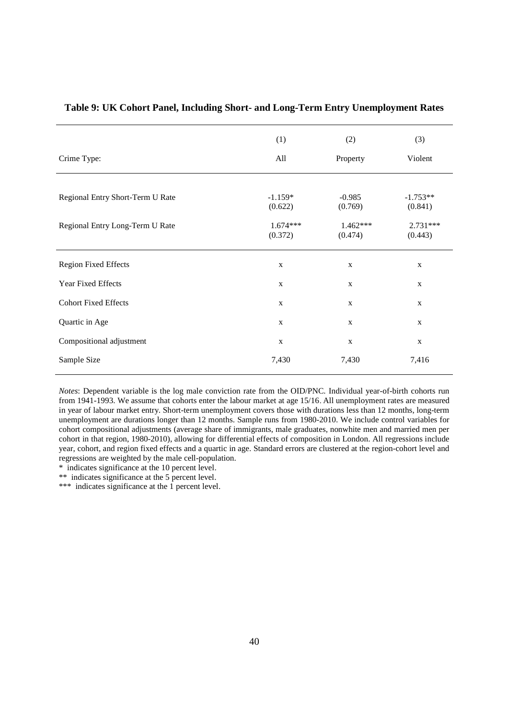|                                  | (1)<br>(2)            |                       | (3)                   |
|----------------------------------|-----------------------|-----------------------|-----------------------|
| Crime Type:                      | All                   | Property              | Violent               |
|                                  |                       |                       |                       |
| Regional Entry Short-Term U Rate | $-1.159*$<br>(0.622)  | $-0.985$<br>(0.769)   | $-1.753**$<br>(0.841) |
| Regional Entry Long-Term U Rate  | $1.674***$<br>(0.372) | $1.462***$<br>(0.474) | $2.731***$<br>(0.443) |
| <b>Region Fixed Effects</b>      | $\mathbf X$           | $\mathbf X$           | $\mathbf X$           |
| Year Fixed Effects               | $\mathbf X$           | $\mathbf X$           | $\mathbf X$           |
| <b>Cohort Fixed Effects</b>      | $\mathbf X$           | $\mathbf X$           | $\mathbf X$           |
| Quartic in Age                   | $\mathbf{X}$          | $\mathbf{X}$          | $\mathbf X$           |
| Compositional adjustment         | $\mathbf X$           | $\mathbf X$           | $\mathbf X$           |
| Sample Size                      | 7,430                 | 7,430                 | 7,416                 |

#### **Table 9: UK Cohort Panel, Including Short- and Long-Term Entry Unemployment Rates**

*Notes*: Dependent variable is the log male conviction rate from the OID/PNC. Individual year-of-birth cohorts run from 1941-1993. We assume that cohorts enter the labour market at age 15/16. All unemployment rates are measured in year of labour market entry. Short-term unemployment covers those with durations less than 12 months, long-term unemployment are durations longer than 12 months. Sample runs from 1980-2010. We include control variables for cohort compositional adjustments (average share of immigrants, male graduates, nonwhite men and married men per cohort in that region, 1980-2010), allowing for differential effects of composition in London. All regressions include year, cohort, and region fixed effects and a quartic in age. Standard errors are clustered at the region-cohort level and regressions are weighted by the male cell-population.

\* indicates significance at the 10 percent level.

\*\* indicates significance at the 5 percent level.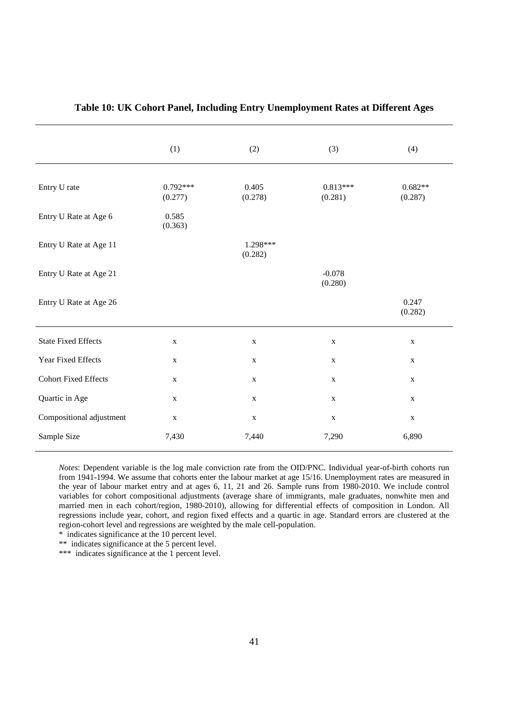|                             | (1)                   | (2)                 | (3)                   | (4)                  |
|-----------------------------|-----------------------|---------------------|-----------------------|----------------------|
| Entry U rate                | $0.792***$<br>(0.277) | 0.405<br>(0.278)    | $0.813***$<br>(0.281) | $0.682**$<br>(0.287) |
| Entry U Rate at Age 6       | 0.585<br>(0.363)      |                     |                       |                      |
| Entry U Rate at Age 11      |                       | 1.298***<br>(0.282) |                       |                      |
| Entry U Rate at Age 21      |                       |                     | $-0.078$<br>(0.280)   |                      |
| Entry U Rate at Age 26      |                       |                     |                       | 0.247<br>(0.282)     |
| <b>State Fixed Effects</b>  | $\mathbf X$           | $\mathbf X$         | $\mathbf X$           | $\mathbf X$          |
| Year Fixed Effects          | $\mathbf X$           | $\mathbf X$         | $\mathbf X$           | $\mathbf X$          |
| <b>Cohort Fixed Effects</b> | $\mathbf X$           | $\mathbf X$         | $\mathbf X$           | $\mathbf X$          |
| Quartic in Age              | $\mathbf X$           | $\mathbf X$         | $\mathbf X$           | $\mathbf X$          |
| Compositional adjustment    | $\mathbf X$           | $\mathbf X$         | $\mathbf X$           | $\mathbf X$          |
| Sample Size                 | 7,430                 | 7,440               | 7,290                 | 6,890                |

#### **Table 10: UK Cohort Panel, Including Entry Unemployment Rates at Different Ages**

*Notes*: Dependent variable is the log male conviction rate from the OID/PNC. Individual year-of-birth cohorts run from 1941-1994. We assume that cohorts enter the labour market at age 15/16. Unemployment rates are measured in the year of labour market entry and at ages 6, 11, 21 and 26. Sample runs from 1980-2010. We include control variables for cohort compositional adjustments (average share of immigrants, male graduates, nonwhite men and married men in each cohort/region, 1980-2010), allowing for differential effects of composition in London. All regressions include year, cohort, and region fixed effects and a quartic in age. Standard errors are clustered at the region-cohort level and regressions are weighted by the male cell-population.

\* indicates significance at the 10 percent level.

\*\* indicates significance at the 5 percent level.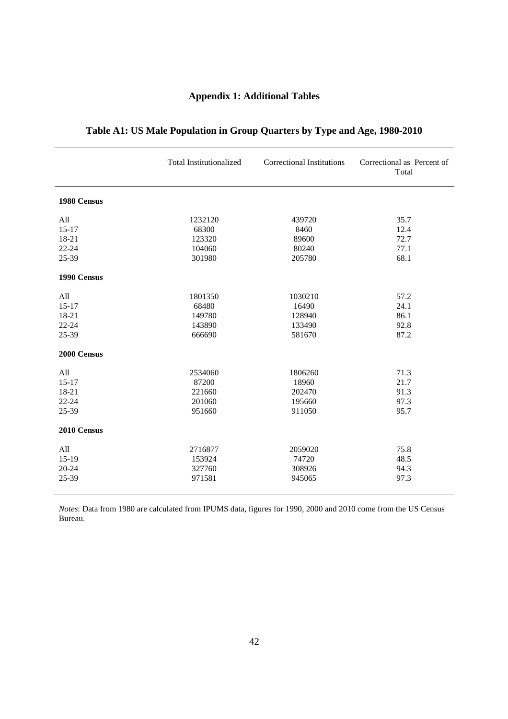## **Appendix 1: Additional Tables**

|             | <b>Total Institutionalized</b> | <b>Correctional Institutions</b> | Correctional as Percent of<br>Total |
|-------------|--------------------------------|----------------------------------|-------------------------------------|
| 1980 Census |                                |                                  |                                     |
| All         | 1232120                        | 439720                           | 35.7                                |
| $15 - 17$   | 68300                          | 8460                             | 12.4                                |
| 18-21       | 123320                         | 89600                            | 72.7                                |
| $22 - 24$   | 104060                         | 80240                            | 77.1                                |
| 25-39       | 301980                         | 205780                           | 68.1                                |
| 1990 Census |                                |                                  |                                     |
| All         | 1801350                        | 1030210                          | 57.2                                |
| $15 - 17$   | 68480                          | 16490                            | 24.1                                |
| 18-21       | 149780                         | 128940                           | 86.1                                |
| $22 - 24$   | 143890                         | 133490                           | 92.8                                |
| 25-39       | 666690                         | 581670                           | 87.2                                |
| 2000 Census |                                |                                  |                                     |
| All         | 2534060                        | 1806260                          | 71.3                                |
| $15 - 17$   | 87200                          | 18960                            | 21.7                                |
| 18-21       | 221660                         | 202470                           | 91.3                                |
| $22 - 24$   | 201060                         | 195660                           | 97.3                                |
| 25-39       | 951660                         | 911050                           | 95.7                                |
| 2010 Census |                                |                                  |                                     |
| All         | 2716877                        | 2059020                          | 75.8                                |
| $15-19$     | 153924                         | 74720                            | 48.5                                |
| 20-24       | 327760                         | 308926                           | 94.3                                |
| 25-39       | 971581                         | 945065                           | 97.3                                |

## **Table A1: US Male Population in Group Quarters by Type and Age, 1980-2010**

*Notes*: Data from 1980 are calculated from IPUMS data, figures for 1990, 2000 and 2010 come from the US Census Bureau.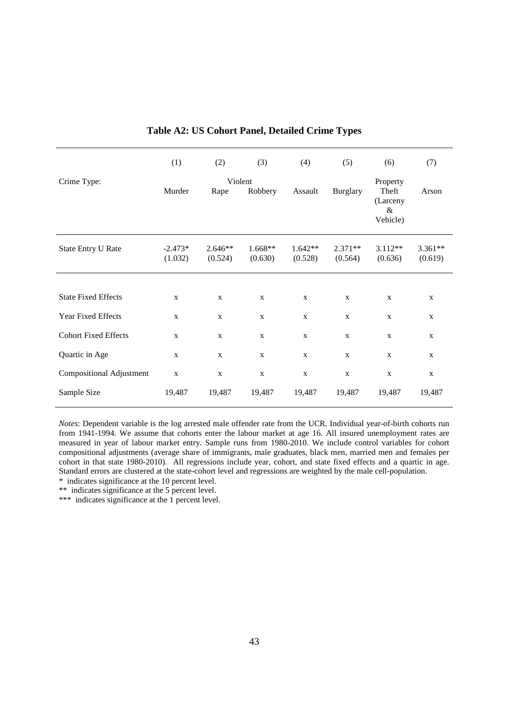|                                 | (1)                  | (2)                  | (3)                  | (4)                  | (5)                  | (6)                                               | (7)                  |
|---------------------------------|----------------------|----------------------|----------------------|----------------------|----------------------|---------------------------------------------------|----------------------|
| Crime Type:                     | Murder               | Violent<br>Rape      | Robbery              | Assault              | <b>Burglary</b>      | Property<br>Theft<br>(Larceny<br>$\&$<br>Vehicle) | Arson                |
| <b>State Entry U Rate</b>       | $-2.473*$<br>(1.032) | $2.646**$<br>(0.524) | $1.668**$<br>(0.630) | $1.642**$<br>(0.528) | $2.371**$<br>(0.564) | $3.112**$<br>(0.636)                              | $3.361**$<br>(0.619) |
|                                 |                      |                      |                      |                      |                      |                                                   |                      |
| <b>State Fixed Effects</b>      | $\mathbf X$          | $\mathbf X$          | $\mathbf X$          | $\mathbf X$          | $\mathbf X$          | $\mathbf X$                                       | $\mathbf X$          |
| Year Fixed Effects              | X                    | $\mathbf{X}$         | $\mathbf X$          | X                    | $\mathbf x$          | $\mathbf X$                                       | $\mathbf X$          |
| <b>Cohort Fixed Effects</b>     | $\mathbf X$          | $\mathbf X$          | $\mathbf X$          | $\mathbf{X}$         | $\mathbf X$          | $\mathbf X$                                       | $\mathbf X$          |
| Quartic in Age                  | $\mathbf X$          | $\mathbf X$          | $\mathbf X$          | $\mathbf X$          | $\mathbf X$          | $\mathbf X$                                       | $\mathbf X$          |
| <b>Compositional Adjustment</b> | $\mathbf X$          | $\mathbf X$          | $\mathbf X$          | $\mathbf X$          | $\mathbf X$          | $\mathbf X$                                       | $\mathbf X$          |
| Sample Size                     | 19,487               | 19,487               | 19,487               | 19,487               | 19,487               | 19,487                                            | 19,487               |

#### **Table A2: US Cohort Panel, Detailed Crime Types**

*Notes*: Dependent variable is the log arrested male offender rate from the UCR. Individual year-of-birth cohorts run from 1941-1994. We assume that cohorts enter the labour market at age 16. All insured unemployment rates are measured in year of labour market entry. Sample runs from 1980-2010. We include control variables for cohort compositional adjustments (average share of immigrants, male graduates, black men, married men and females per cohort in that state 1980-2010). All regressions include year, cohort, and state fixed effects and a quartic in age. Standard errors are clustered at the state-cohort level and regressions are weighted by the male cell-population.

\* indicates significance at the 10 percent level. \*\* indicates significance at the 5 percent level.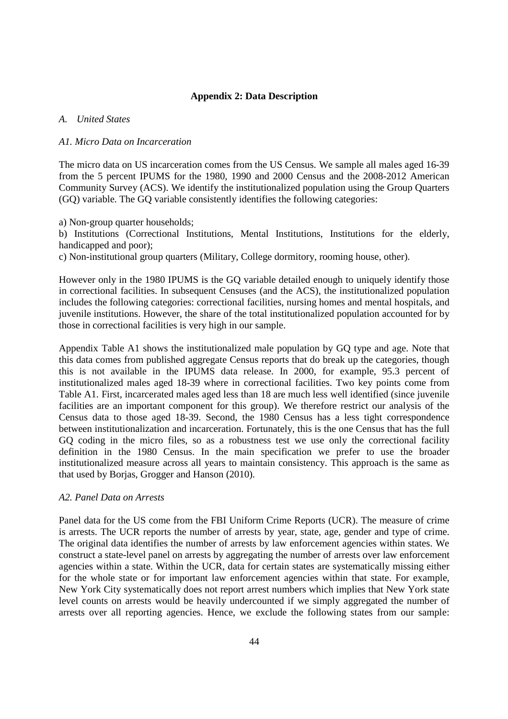#### **Appendix 2: Data Description**

#### *A. United States*

#### *A1. Micro Data on Incarceration*

The micro data on US incarceration comes from the US Census. We sample all males aged 16-39 from the 5 percent IPUMS for the 1980, 1990 and 2000 Census and the 2008-2012 American Community Survey (ACS). We identify the institutionalized population using the Group Quarters (GQ) variable. The GQ variable consistently identifies the following categories:

a) Non-group quarter households;

b) Institutions (Correctional Institutions, Mental Institutions, Institutions for the elderly, handicapped and poor);

c) Non-institutional group quarters (Military, College dormitory, rooming house, other).

However only in the 1980 IPUMS is the GQ variable detailed enough to uniquely identify those in correctional facilities. In subsequent Censuses (and the ACS), the institutionalized population includes the following categories: correctional facilities, nursing homes and mental hospitals, and juvenile institutions. However, the share of the total institutionalized population accounted for by those in correctional facilities is very high in our sample.

Appendix Table A1 shows the institutionalized male population by GQ type and age. Note that this data comes from published aggregate Census reports that do break up the categories, though this is not available in the IPUMS data release. In 2000, for example, 95.3 percent of institutionalized males aged 18-39 where in correctional facilities. Two key points come from Table A1. First, incarcerated males aged less than 18 are much less well identified (since juvenile facilities are an important component for this group). We therefore restrict our analysis of the Census data to those aged 18-39. Second, the 1980 Census has a less tight correspondence between institutionalization and incarceration. Fortunately, this is the one Census that has the full GQ coding in the micro files, so as a robustness test we use only the correctional facility definition in the 1980 Census. In the main specification we prefer to use the broader institutionalized measure across all years to maintain consistency. This approach is the same as that used by Borjas, Grogger and Hanson (2010).

#### *A2. Panel Data on Arrests*

Panel data for the US come from the FBI Uniform Crime Reports (UCR). The measure of crime is arrests. The UCR reports the number of arrests by year, state, age, gender and type of crime. The original data identifies the number of arrests by law enforcement agencies within states. We construct a state-level panel on arrests by aggregating the number of arrests over law enforcement agencies within a state. Within the UCR, data for certain states are systematically missing either for the whole state or for important law enforcement agencies within that state. For example, New York City systematically does not report arrest numbers which implies that New York state level counts on arrests would be heavily undercounted if we simply aggregated the number of arrests over all reporting agencies. Hence, we exclude the following states from our sample: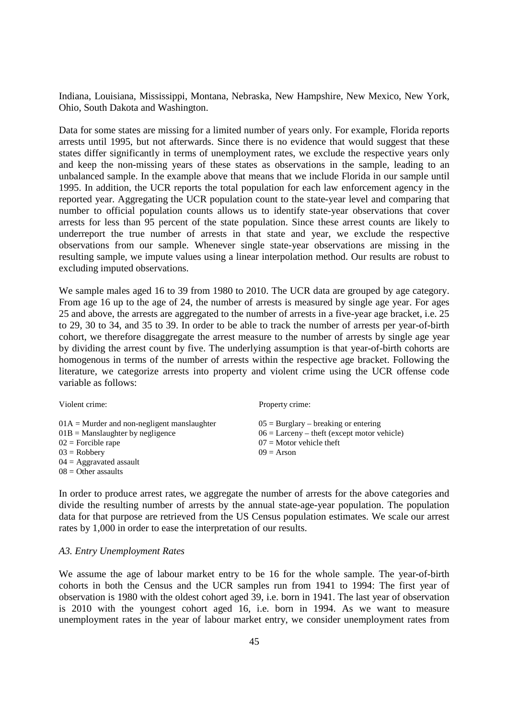Indiana, Louisiana, Mississippi, Montana, Nebraska, New Hampshire, New Mexico, New York, Ohio, South Dakota and Washington.

Data for some states are missing for a limited number of years only. For example, Florida reports arrests until 1995, but not afterwards. Since there is no evidence that would suggest that these states differ significantly in terms of unemployment rates, we exclude the respective years only and keep the non-missing years of these states as observations in the sample, leading to an unbalanced sample. In the example above that means that we include Florida in our sample until 1995. In addition, the UCR reports the total population for each law enforcement agency in the reported year. Aggregating the UCR population count to the state-year level and comparing that number to official population counts allows us to identify state-year observations that cover arrests for less than 95 percent of the state population. Since these arrest counts are likely to underreport the true number of arrests in that state and year, we exclude the respective observations from our sample. Whenever single state-year observations are missing in the resulting sample, we impute values using a linear interpolation method. Our results are robust to excluding imputed observations.

We sample males aged 16 to 39 from 1980 to 2010. The UCR data are grouped by age category. From age 16 up to the age of 24, the number of arrests is measured by single age year. For ages 25 and above, the arrests are aggregated to the number of arrests in a five-year age bracket, i.e. 25 to 29, 30 to 34, and 35 to 39. In order to be able to track the number of arrests per year-of-birth cohort, we therefore disaggregate the arrest measure to the number of arrests by single age year by dividing the arrest count by five. The underlying assumption is that year-of-birth cohorts are homogenous in terms of the number of arrests within the respective age bracket. Following the literature, we categorize arrests into property and violent crime using the UCR offense code variable as follows:

| Violent crime:                                | Property crime:                               |
|-----------------------------------------------|-----------------------------------------------|
| $01A =$ Murder and non-negligent manslaughter | $05 = Burglary - breaking$ or entering        |
| $01B$ = Manslaughter by negligence            | $06 =$ Larceny – theft (except motor vehicle) |
| $02$ = Forcible rape                          | $07 =$ Motor vehicle theft                    |
| $03 = \text{Robberv}$                         | $09$ = Arson                                  |
| $04 =$ Aggravated assault                     |                                               |
| $08 =$ Other assaults                         |                                               |

In order to produce arrest rates, we aggregate the number of arrests for the above categories and divide the resulting number of arrests by the annual state-age-year population. The population data for that purpose are retrieved from the US Census population estimates. We scale our arrest rates by 1,000 in order to ease the interpretation of our results.

#### *A3. Entry Unemployment Rates*

We assume the age of labour market entry to be 16 for the whole sample. The year-of-birth cohorts in both the Census and the UCR samples run from 1941 to 1994: The first year of observation is 1980 with the oldest cohort aged 39, i.e. born in 1941. The last year of observation is 2010 with the youngest cohort aged 16, i.e. born in 1994. As we want to measure unemployment rates in the year of labour market entry, we consider unemployment rates from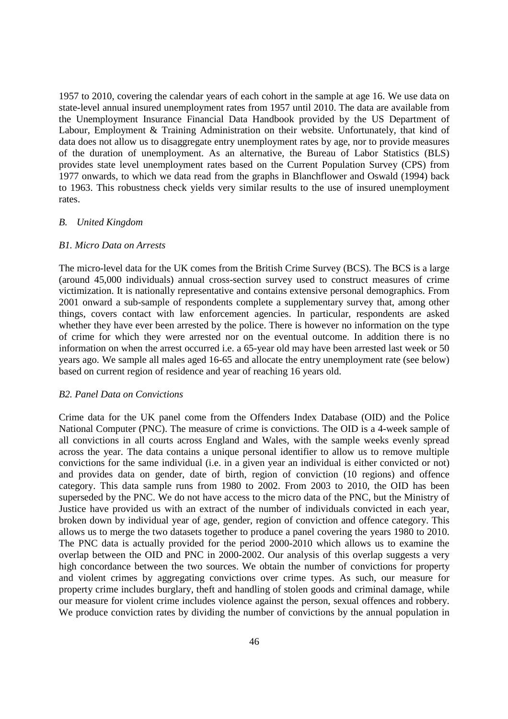1957 to 2010, covering the calendar years of each cohort in the sample at age 16. We use data on state-level annual insured unemployment rates from 1957 until 2010. The data are available from the Unemployment Insurance Financial Data Handbook provided by the US Department of Labour, Employment & Training Administration on their website. Unfortunately, that kind of data does not allow us to disaggregate entry unemployment rates by age, nor to provide measures of the duration of unemployment. As an alternative, the Bureau of Labor Statistics (BLS) provides state level unemployment rates based on the Current Population Survey (CPS) from 1977 onwards, to which we data read from the graphs in Blanchflower and Oswald (1994) back to 1963. This robustness check yields very similar results to the use of insured unemployment rates.

#### *B. United Kingdom*

#### *B1. Micro Data on Arrests*

The micro-level data for the UK comes from the British Crime Survey (BCS). The BCS is a large (around 45,000 individuals) annual cross-section survey used to construct measures of crime victimization. It is nationally representative and contains extensive personal demographics. From 2001 onward a sub-sample of respondents complete a supplementary survey that, among other things, covers contact with law enforcement agencies. In particular, respondents are asked whether they have ever been arrested by the police. There is however no information on the type of crime for which they were arrested nor on the eventual outcome. In addition there is no information on when the arrest occurred i.e. a 65-year old may have been arrested last week or 50 years ago. We sample all males aged 16-65 and allocate the entry unemployment rate (see below) based on current region of residence and year of reaching 16 years old.

#### *B2. Panel Data on Convictions*

Crime data for the UK panel come from the Offenders Index Database (OID) and the Police National Computer (PNC). The measure of crime is convictions. The OID is a 4-week sample of all convictions in all courts across England and Wales, with the sample weeks evenly spread across the year. The data contains a unique personal identifier to allow us to remove multiple convictions for the same individual (i.e. in a given year an individual is either convicted or not) and provides data on gender, date of birth, region of conviction (10 regions) and offence category. This data sample runs from 1980 to 2002. From 2003 to 2010, the OID has been superseded by the PNC. We do not have access to the micro data of the PNC, but the Ministry of Justice have provided us with an extract of the number of individuals convicted in each year, broken down by individual year of age, gender, region of conviction and offence category. This allows us to merge the two datasets together to produce a panel covering the years 1980 to 2010. The PNC data is actually provided for the period 2000-2010 which allows us to examine the overlap between the OID and PNC in 2000-2002. Our analysis of this overlap suggests a very high concordance between the two sources. We obtain the number of convictions for property and violent crimes by aggregating convictions over crime types. As such, our measure for property crime includes burglary, theft and handling of stolen goods and criminal damage, while our measure for violent crime includes violence against the person, sexual offences and robbery. We produce conviction rates by dividing the number of convictions by the annual population in